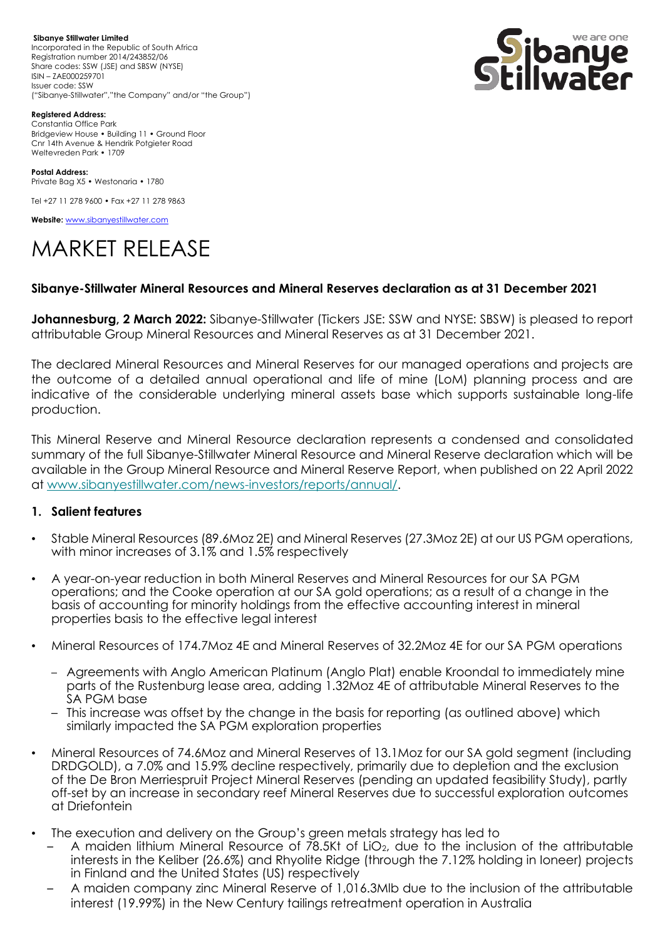**Sibanye Stillwater Limited**  Incorporated in the Republic of South Africa Registration number 2014/243852/06 Share codes: SSW (JSE) and SBSW (NYSE) ISIN – ZAE000259701 Issuer code: SSW ("Sibanye-Stillwater","the Company" and/or "the Group")



**Registered Address:**

Constantia Office Park Bridgeview House • Building 11 • Ground Floor Cnr 14th Avenue & Hendrik Potgieter Road Weltevreden Park • 1709

**Postal Address:** Private Bag X5 • Westonaria • 1780

Tel +27 11 278 9600 • Fax +27 11 278 9863

**Website:** [www.sibanyestillwater.com](http://www.sibanyestillwater.com/)

# MARKET RELEASE

#### **Sibanye-Stillwater Mineral Resources and Mineral Reserves declaration as at 31 December 2021**

**Johannesburg, 2 March 2022:** Sibanye-Stillwater (Tickers JSE: SSW and NYSE: SBSW) is pleased to report attributable Group Mineral Resources and Mineral Reserves as at 31 December 2021.

The declared Mineral Resources and Mineral Reserves for our managed operations and projects are the outcome of a detailed annual operational and life of mine (LoM) planning process and are indicative of the considerable underlying mineral assets base which supports sustainable long-life production.

This Mineral Reserve and Mineral Resource declaration represents a condensed and consolidated summary of the full Sibanye-Stillwater Mineral Resource and Mineral Reserve declaration which will be available in the Group Mineral Resource and Mineral Reserve Report, when published on 22 April 2022 at [www.sibanyestillwater.com/news-investors/reports/annual/.](http://www.sibanyestillwater.com/news-investors/reports/annual/)

#### **1. Salient features**

- Stable Mineral Resources (89.6Moz 2E) and Mineral Reserves (27.3Moz 2E) at our US PGM operations, with minor increases of 3.1% and 1.5% respectively
- A year-on-year reduction in both Mineral Reserves and Mineral Resources for our SA PGM operations; and the Cooke operation at our SA gold operations; as a result of a change in the basis of accounting for minority holdings from the effective accounting interest in mineral properties basis to the effective legal interest
- Mineral Resources of 174.7Moz 4E and Mineral Reserves of 32.2Moz 4E for our SA PGM operations
	- Agreements with Anglo American Platinum (Anglo Plat) enable Kroondal to immediately mine parts of the Rustenburg lease area, adding 1.32Moz 4E of attributable Mineral Reserves to the SA PGM base
	- This increase was offset by the change in the basis for reporting (as outlined above) which similarly impacted the SA PGM exploration properties
- Mineral Resources of 74.6Moz and Mineral Reserves of 13.1Moz for our SA gold segment (including DRDGOLD), a 7.0% and 15.9% decline respectively, primarily due to depletion and the exclusion of the De Bron Merriespruit Project Mineral Reserves (pending an updated feasibility Study), partly off-set by an increase in secondary reef Mineral Reserves due to successful exploration outcomes at Driefontein
- The execution and delivery on the Group's green metals strategy has led to
	- A maiden lithium Mineral Resource of 78.5Kt of LiO2, due to the inclusion of the attributable interests in the Keliber (26.6%) and Rhyolite Ridge (through the 7.12% holding in Ioneer) projects in Finland and the United States (US) respectively
	- A maiden company zinc Mineral Reserve of 1,016.3Mlb due to the inclusion of the attributable interest (19.99%) in the New Century tailings retreatment operation in Australia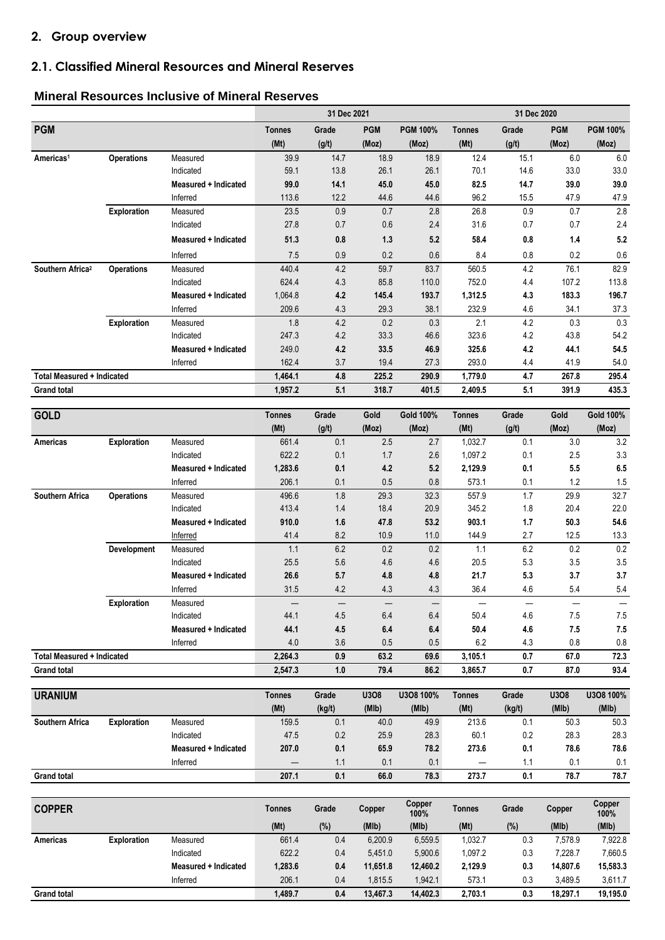# **2. Group overview**

# **2.1. Classified Mineral Resources and Mineral Reserves**

#### **Mineral Resources Inclusive of Mineral Reserves**

|                                   |                    |                       |                       | 31 Dec 2021     |               |                    |                  |                 |               |                    |
|-----------------------------------|--------------------|-----------------------|-----------------------|-----------------|---------------|--------------------|------------------|-----------------|---------------|--------------------|
| <b>PGM</b>                        |                    |                       | <b>Tonnes</b>         | Grade           | <b>PGM</b>    | <b>PGM 100%</b>    | <b>Tonnes</b>    | Grade           | <b>PGM</b>    | <b>PGM 100%</b>    |
|                                   |                    |                       | (Mt)                  | (g/t)           | (Moz)         | (Moz)              | (Mt)             | (g/t)           | (Moz)         | (Moz)              |
| Americas <sup>1</sup>             | <b>Operations</b>  | Measured              | 39.9                  | 14.7            | 18.9          | 18.9               | 12.4             | 15.1            | 6.0           | 6.0                |
|                                   |                    | Indicated             | 59.1                  | 13.8            | 26.1          | 26.1               | 70.1             | 14.6            | 33.0          | 33.0               |
|                                   |                    | Measured + Indicated  | 99.0                  | 14.1            | 45.0          | 45.0               | 82.5             | 14.7            | 39.0          | 39.0               |
|                                   |                    | Inferred              | 113.6                 | 12.2            | 44.6          | 44.6               | 96.2             | 15.5            | 47.9          | 47.9               |
|                                   | Exploration        | Measured              | 23.5                  | 0.9             | 0.7           | 2.8                | 26.8             | 0.9             | 0.7           | 2.8                |
|                                   |                    | Indicated             | 27.8                  | 0.7             | 0.6           | 2.4                | 31.6             | 0.7             | 0.7           | 2.4                |
|                                   |                    | Measured + Indicated  | 51.3                  | 0.8             | 1.3           | 5.2                | 58.4             | $\bf 0.8$       | 1.4           | 5.2                |
|                                   |                    | Inferred              | 7.5                   | 0.9             | $0.2\,$       | 0.6                | 8.4              | 0.8             | 0.2           | $0.6\,$            |
| Southern Africa <sup>2</sup>      | <b>Operations</b>  | Measured              | 440.4                 | 4.2             | 59.7          | 83.7               | 560.5            | 4.2             | 76.1          | 82.9               |
|                                   |                    | Indicated             | 624.4                 | 4.3             | 85.8          | 110.0              | 752.0            | 4.4             | 107.2         | 113.8              |
|                                   |                    | Measured + Indicated  | 1,064.8               | 4.2             | 145.4         | 193.7              | 1,312.5          | 4.3             | 183.3         | 196.7              |
|                                   |                    | Inferred              | 209.6                 | 4.3             | 29.3          | 38.1               | 232.9            | 4.6             | 34.1          | 37.3               |
|                                   | Exploration        | Measured              | 1.8                   | 4.2             | 0.2           | 0.3                | 2.1              | 4.2             | 0.3           | 0.3                |
|                                   |                    | Indicated             | 247.3                 | 4.2             | 33.3          | 46.6               | 323.6            | 4.2             | 43.8          | 54.2               |
|                                   |                    | Measured + Indicated  | 249.0                 | 4.2             | 33.5          | 46.9               | 325.6            | 4.2             | 44.1          | 54.5               |
|                                   |                    | Inferred              | 162.4                 | 3.7             | 19.4          | 27.3               | 293.0            | 4.4             | 41.9          | 54.0               |
| <b>Total Measured + Indicated</b> |                    |                       | 1,464.1               | 4.8             | 225.2         | 290.9              | 1,779.0          | 4.7             | 267.8         | 295.4              |
| <b>Grand total</b>                |                    |                       | 1,957.2               | 5.1             | 318.7         | 401.5              | 2,409.5          | 5.1             | 391.9         | 435.3              |
| <b>GOLD</b>                       |                    |                       | <b>Tonnes</b>         | Grade           | Gold          | <b>Gold 100%</b>   | <b>Tonnes</b>    | Grade           | Gold          | <b>Gold 100%</b>   |
|                                   |                    |                       | (Mt)                  | (g/t)           | (Moz)         | (Moz)              | (Mt)             | (g/t)           | (Moz)         | (Moz)              |
| Americas                          | <b>Exploration</b> | Measured              | 661.4                 | 0.1             | 2.5           | 2.7                | 1,032.7          | 0.1             | 3.0           | 3.2                |
|                                   |                    | Indicated             | 622.2                 | 0.1             | 1.7           | 2.6                | 1,097.2          | 0.1             | 2.5           | 3.3                |
|                                   |                    | Measured + Indicated  | 1,283.6               |                 |               |                    |                  |                 |               |                    |
|                                   |                    |                       |                       |                 |               |                    |                  |                 |               |                    |
|                                   |                    | Inferred              | 206.1                 | 0.1             | 4.2           | 5.2                | 2,129.9<br>573.1 | 0.1             | 5.5<br>1.2    | 6.5                |
|                                   |                    |                       |                       | 0.1             | 0.5           | 0.8                |                  | 0.1             |               | 1.5                |
| Southern Africa                   | <b>Operations</b>  | Measured<br>Indicated | 496.6                 | 1.8<br>1.4      | 29.3          | 32.3               | 557.9            | 1.7             | 29.9          | 32.7               |
|                                   |                    | Measured + Indicated  | 413.4<br>910.0        | 1.6             | 18.4<br>47.8  | 20.9<br>53.2       | 345.2<br>903.1   | 1.8<br>1.7      | 20.4<br>50.3  | 22.0<br>54.6       |
|                                   |                    | Inferred              | 41.4                  | 8.2             | 10.9          | 11.0               | 144.9            | 2.7             | 12.5          |                    |
|                                   | Development        | Measured              | 1.1                   | 6.2             | 0.2           | 0.2                | 1.1              | 6.2             | 0.2           | 13.3<br>$0.2\,$    |
|                                   |                    | Indicated             | 25.5                  | 5.6             | 4.6           | 4.6                | 20.5             | $5.3\,$         | 3.5           | 3.5                |
|                                   |                    | Measured + Indicated  | 26.6                  | 5.7             | 4.8           | 4.8                | 21.7             | 5.3             | 3.7           | 3.7                |
|                                   |                    | Inferred              | 31.5                  | 4.2             | 4.3           | 4.3                | 36.4             | 4.6             | 5.4           | 5.4                |
|                                   | Exploration        | Measured              |                       |                 |               |                    |                  |                 |               |                    |
|                                   |                    | Indicated             | 44.1                  | 4.5             | 6.4           | 6.4                | 50.4             | 4.6             | 7.5           | $7.5\,$            |
|                                   |                    | Measured + Indicated  | 44.1                  | 4.5             | 6.4           | 6.4                | 50.4             | 4.6             | 7.5           | 7.5                |
|                                   |                    | Inferred              | 4.0                   | 3.6             | 0.5           | 0.5                | 6.2              | 4.3             | 0.8           | 0.8                |
| <b>Total Measured + Indicated</b> |                    |                       | 2,264.3               | 0.9             | 63.2          | 69.6               | 3,105.1          | 0.7             | 67.0          | 72.3               |
| <b>Grand total</b>                |                    |                       | 2.547.3               | 1.0             | 79.4          | 86.2               | 3,865.7          | 0.7             | 87.0          | 93.4               |
|                                   |                    |                       |                       |                 |               |                    |                  |                 |               |                    |
| <b>URANIUM</b>                    |                    |                       | <b>Tonnes</b><br>(Mt) | Grade<br>(kg/t) | U3O8<br>(M1b) | U3O8 100%<br>(MIb) | Tonnes<br>(Mt)   | Grade<br>(kg/t) | U3O8<br>(M1b) | U3O8 100%<br>(MIb) |

| UNANUM                 |                    |                      | TUITIES | viaue  | ujuu  | <b>UJUU IUU /0</b> | I VIIIITS | olauc  | <b>UJUU</b> | <b>UJUU 1UU /0</b> |
|------------------------|--------------------|----------------------|---------|--------|-------|--------------------|-----------|--------|-------------|--------------------|
|                        |                    |                      | (Mt)    | (kg/t) | (MIb) | (MIb)              | (Mt)      | (kg/t) | (MIb)       | (MIb)              |
| <b>Southern Africa</b> | <b>Exploration</b> | Measured             | 159.5   | 0.1    | 40.0  | 49.9               | 213.6     | 0:     | 50.3        | 50.3               |
|                        |                    | Indicated            | 47.5    | 0.2    | 25.9  | 28.3               | 60.1      | 0.2    | 28.3        | 28.3               |
|                        |                    | Measured + Indicated | 207.0   | 0.1    | 65.9  | 78.2               | 273.6     | 0.1    | 78.6        | 78.6               |
|                        |                    | Inferred             |         | ۱.1    | 0.1   | 0.1                | –         |        | 0.1         | 0.1                |
| <b>Grand total</b>     |                    |                      | 207.1   | 0.1    | 66.0  | 78.3               | 273.7     | 0.1    | 78.7        | 78.7               |

| <b>COPPER</b>      |                    |                      | Tonnes  | Grade | Copper   | Copper<br>100% | <b>Tonnes</b> | Grade | Copper   | Copper<br>100% |
|--------------------|--------------------|----------------------|---------|-------|----------|----------------|---------------|-------|----------|----------------|
|                    |                    |                      | (Mt)    | (%)   | (MIb)    | (MIb)          | (Mt)          | (%)   | (MIb)    | (MIb)          |
| Americas           | <b>Exploration</b> | Measured             | 661.4   | 0.4   | 6,200.9  | 6,559.5        | 1,032.7       | 0.3   | 7.578.9  | 7,922.8        |
|                    |                    | Indicated            | 622.2   | 0.4   | 5.451.0  | 5,900.6        | 1.097.2       | 0.3   | 7.228.7  | 7,660.5        |
|                    |                    | Measured + Indicated | 1,283.6 | 0.4   | 11,651.8 | 12,460.2       | 2,129.9       | 0.3   | 14.807.6 | 15,583.3       |
|                    |                    | Inferred             | 206.1   | 0.4   | .815.5   | 1.942.1        | 573.1         | 0.3   | 3.489.5  | 3,611.7        |
| <b>Grand total</b> |                    |                      | 1,489.7 | 0.4   | 13.467.3 | 14,402.3       | 2,703.1       | 0.3   | 18.297.1 | 19,195.0       |
|                    |                    |                      |         |       |          |                |               |       |          |                |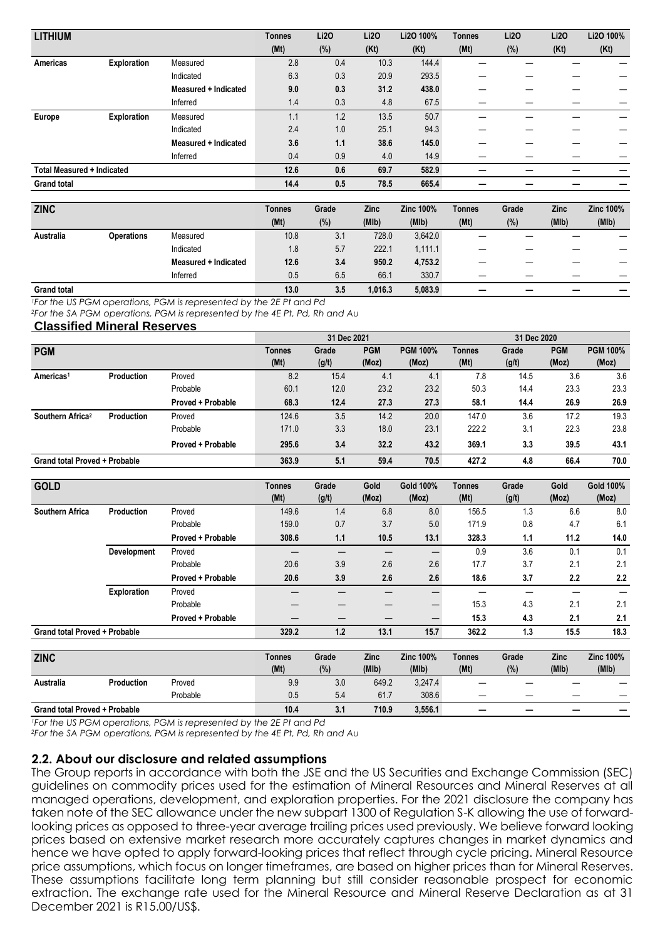| <b>LITHIUM</b>                    |                    |                      | <b>Tonnes</b> | Li2O | <b>Li20</b> | Li2O 100% | <b>Tonnes</b> | <b>Li20</b> | <b>Li20</b> | Li2O 100% |
|-----------------------------------|--------------------|----------------------|---------------|------|-------------|-----------|---------------|-------------|-------------|-----------|
|                                   |                    |                      | (Mt)          | (%)  | (Kt)        | (Kt)      | (Mt)          | (%)         | (Kt)        | (Kt)      |
| <b>Americas</b>                   | Exploration        | Measured             | 2.8           | 0.4  | 10.3        | 144.4     |               |             |             |           |
|                                   |                    | Indicated            | 6.3           | 0.3  | 20.9        | 293.5     |               |             |             |           |
|                                   |                    | Measured + Indicated | 9.0           | 0.3  | 31.2        | 438.0     |               |             |             |           |
|                                   |                    | Inferred             | 1.4           | 0.3  | 4.8         | 67.5      |               |             |             |           |
| Europe                            | <b>Exploration</b> | Measured             | 1.1           | 1.2  | 13.5        | 50.7      |               |             |             |           |
|                                   |                    | Indicated            | 2.4           | 1.0  | 25.1        | 94.3      |               |             |             |           |
|                                   |                    | Measured + Indicated | 3.6           | 1.1  | 38.6        | 145.0     |               |             |             |           |
|                                   |                    | Inferred             | 0.4           | 0.9  | 4.0         | 14.9      |               |             |             |           |
| <b>Total Measured + Indicated</b> |                    |                      | 12.6          | 0.6  | 69.7        | 582.9     |               |             |             |           |
| <b>Grand total</b>                |                    |                      | 14.4          | 0.5  | 78.5        | 665.4     |               |             |             |           |

| <b>ZINC</b>        |                   |                      | <b>Tonnes</b> | Grade | Zinc    | <b>Zinc 100%</b> | <b>Tonnes</b> | Grade | <b>Zinc</b> | <b>Zinc 100%</b> |
|--------------------|-------------------|----------------------|---------------|-------|---------|------------------|---------------|-------|-------------|------------------|
|                    |                   |                      | (Mt)          | (%)   | (MIb)   | (MIb)            | (Mt)          | (%)   | (MIb)       | (MIb)            |
| Australia          | <b>Operations</b> | Measured             | 10.8          | 3.1   | 728.0   | 3,642.0          |               |       |             |                  |
|                    |                   | Indicated            | 1.8           | 5.7   | 222.1   | 1,111.1          |               |       |             |                  |
|                    |                   | Measured + Indicated | 12.6          | 3.4   | 950.2   | 4,753.2          |               |       |             |                  |
|                    |                   | Inferred             | 0.5           | 6.5   | 66.1    | 330.7            | –             |       |             |                  |
| <b>Grand total</b> |                   |                      | 13.0          | 3.5   | 1.016.3 | 5,083.9          | _             |       |             |                  |

*<sup>1</sup>For the US PGM operations, PGM is represented by the 2E Pt and Pd*

*<sup>2</sup>For the SA PGM operations, PGM is represented by the 4E Pt, Pd, Rh and Au*

**Classified Mineral Reserves**

|                                      |                   |                   |        | 31 Dec 2021 |            |                 |               | 31 Dec 2020 |            |                 |
|--------------------------------------|-------------------|-------------------|--------|-------------|------------|-----------------|---------------|-------------|------------|-----------------|
| <b>PGM</b>                           |                   |                   | Tonnes | Grade       | <b>PGM</b> | <b>PGM 100%</b> | <b>Tonnes</b> | Grade       | <b>PGM</b> | <b>PGM 100%</b> |
|                                      |                   |                   | (Mt)   | (g/t)       | (Moz)      | (Moz)           | (Mt)          | (g/t)       | (Moz)      | (Moz)           |
| Americas <sup>1</sup>                | <b>Production</b> | Proved            | 8.2    | 15.4        | 4.1        | 4.1             | 7.8           | 14.5        | 3.6        | 3.6             |
|                                      |                   | Probable          | 60.1   | 12.0        | 23.2       | 23.2            | 50.3          | 14.4        | 23.3       | 23.3            |
|                                      |                   | Proved + Probable | 68.3   | 12.4        | 27.3       | 27.3            | 58.1          | 14.4        | 26.9       | 26.9            |
| Southern Africa <sup>2</sup>         | <b>Production</b> | Proved            | 124.6  | 3.5         | 14.2       | 20.0            | 147.0         | 3.6         | 17.2       | 19.3            |
|                                      |                   | Probable          | 171.0  | 3.3         | 18.0       | 23.1            | 222.2         | 3.1         | 22.3       | 23.8            |
|                                      |                   | Proved + Probable | 295.6  | 3.4         | 32.2       | 43.2            | 369.1         | 3.3         | 39.5       | 43.1            |
| <b>Grand total Proved + Probable</b> |                   |                   | 363.9  | 5.1         | 59.4       | 70.5            | 427.2         | 4.8         | 66.4       | 70.0            |

| <b>GOLD</b>                          |                    |                          | Tonnes | Grade | Gold        | Gold 100%        | <b>Tonnes</b> | Grade | Gold        | <b>Gold 100%</b> |
|--------------------------------------|--------------------|--------------------------|--------|-------|-------------|------------------|---------------|-------|-------------|------------------|
|                                      |                    |                          | (Mt)   | (g/t) | (Moz)       | (Moz)            | (Mt)          | (g/t) | (Moz)       | (Moz)            |
| <b>Southern Africa</b>               | <b>Production</b>  | Proved                   | 149.6  | 1.4   | 6.8         | 8.0              | 156.5         | 1.3   | 6.6         | 8.0              |
|                                      |                    | Probable                 | 159.0  | 0.7   | 3.7         | 5.0              | 171.9         | 0.8   | 4.7         | 6.1              |
|                                      |                    | Proved + Probable        | 308.6  | 1.1   | 10.5        | 13.1             | 328.3         | 1.1   | 11.2        | 14.0             |
|                                      | Development        | Proved                   |        |       |             | –                | 0.9           | 3.6   | 0.1         | 0.1              |
|                                      |                    | Probable                 | 20.6   | 3.9   | 2.6         | 2.6              | 17.7          | 3.7   | 2.1         | 2.1              |
|                                      |                    | <b>Proved + Probable</b> | 20.6   | 3.9   | 2.6         | 2.6              | 18.6          | 3.7   | 2.2         | 2.2              |
|                                      | <b>Exploration</b> | Proved                   |        |       |             | –                |               |       |             |                  |
|                                      |                    | Probable                 |        |       |             | —                | 15.3          | 4.3   | 2.1         | 2.1              |
|                                      |                    | Proved + Probable        |        |       |             | –                | 15.3          | 4.3   | 2.1         | 2.1              |
| <b>Grand total Proved + Probable</b> |                    |                          | 329.2  | 1.2   | 13.1        | 15.7             | 362.2         | 1.3   | 15.5        | 18.3             |
|                                      |                    |                          |        |       |             |                  |               |       |             |                  |
| <b>ZINC</b>                          |                    |                          | Tonnes | Grade | <b>Zinc</b> | <b>Zinc 100%</b> | <b>Tonnes</b> | Grade | <b>Zinc</b> | <b>Zinc 100%</b> |
|                                      |                    |                          | (Mt)   | (%)   | (MIb)       | (MIb)            | (Mt)          | (%)   | (MIb)       | (MIb)            |
| Australia                            | <b>Production</b>  | Proved                   | 9.9    | 3.0   | 649.2       | 3,247.4          |               |       |             |                  |

Probable 0.5 5.4 61.7 308.6 — — — —

**Grand total Proved + Probable 10.4 10.4 10.4 110.9 3,556.1** *<sup>1</sup>For the US PGM operations, PGM is represented by the 2E Pt and Pd*

*<sup>2</sup>For the SA PGM operations, PGM is represented by the 4E Pt, Pd, Rh and Au*

#### **2.2. About our disclosure and related assumptions**

The Group reports in accordance with both the JSE and the US Securities and Exchange Commission (SEC) guidelines on commodity prices used for the estimation of Mineral Resources and Mineral Reserves at all managed operations, development, and exploration properties. For the 2021 disclosure the company has taken note of the SEC allowance under the new subpart 1300 of Regulation S-K allowing the use of forwardlooking prices as opposed to three-year average trailing prices used previously. We believe forward looking prices based on extensive market research more accurately captures changes in market dynamics and hence we have opted to apply forward-looking prices that reflect through cycle pricing. Mineral Resource price assumptions, which focus on longer timeframes, are based on higher prices than for Mineral Reserves. These assumptions facilitate long term planning but still consider reasonable prospect for economic extraction. The exchange rate used for the Mineral Resource and Mineral Reserve Declaration as at 31 December 2021 is R15.00/US\$.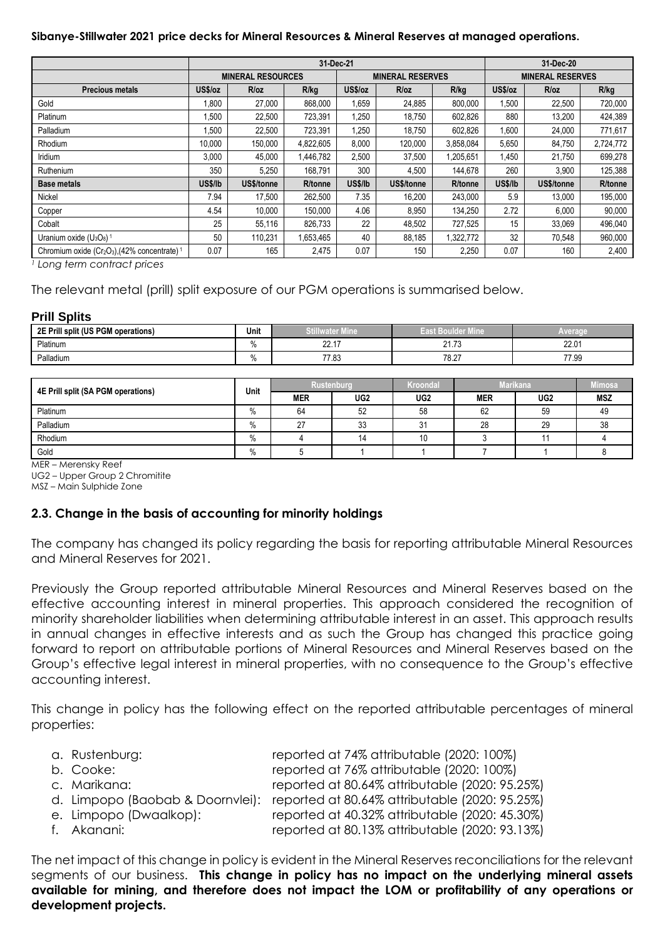#### **Sibanye-Stillwater 2021 price decks for Mineral Resources & Mineral Reserves at managed operations.**

|                                                                                  |         |                          |           | 31-Dec-21 |                         |                 | 31-Dec-20               |            |           |  |
|----------------------------------------------------------------------------------|---------|--------------------------|-----------|-----------|-------------------------|-----------------|-------------------------|------------|-----------|--|
|                                                                                  |         | <b>MINERAL RESOURCES</b> |           |           | <b>MINERAL RESERVES</b> |                 | <b>MINERAL RESERVES</b> |            |           |  |
| <b>Precious metals</b>                                                           | US\$/oz | R/oz                     | R/kg      | US\$/oz   | R/oz                    | R/kg            | US\$/oz                 | R/oz       | R/kg      |  |
| Gold                                                                             | 008,1   | 27,000                   | 868,000   | 1,659     | 24,885                  | 800,000         | 1,500                   | 22,500     | 720,000   |  |
| Platinum                                                                         | .500    | 22,500                   | 723,391   | 1,250     | 18,750                  | 602,826         | 880                     | 13,200     | 424,389   |  |
| Palladium                                                                        | .500    | 22,500                   | 723,391   | 1,250     | 18,750                  | 602,826         | 1,600                   | 24,000     | 771,617   |  |
| Rhodium                                                                          | 10,000  | 150,000                  | 4,822,605 | 8,000     | 120,000                 | 3,858,084       | 5,650                   | 84,750     | 2,724,772 |  |
| Iridium                                                                          | 3,000   | 45,000                   | 1,446,782 | 2,500     | 37,500                  | 1,205,651       | 1,450                   | 21,750     | 699,278   |  |
| Ruthenium                                                                        | 350     | 5,250                    | 168,791   | 300       | 4,500                   | 144,678         | 260                     | 3,900      | 125,388   |  |
| <b>Base metals</b>                                                               | US\$/lb | US\$/tonne               | R/tonne   | US\$/lb   | US\$/tonne              | <b>R</b> /tonne | US\$/lb                 | US\$/tonne | R/tonne   |  |
| Nickel                                                                           | 7.94    | 17.500                   | 262,500   | 7.35      | 16.200                  | 243.000         | 5.9                     | 13.000     | 195,000   |  |
| Copper                                                                           | 4.54    | 10,000                   | 150,000   | 4.06      | 8,950                   | 134.250         | 2.72                    | 6,000      | 90,000    |  |
| Cobalt                                                                           | 25      | 55,116                   | 826,733   | 22        | 48,502                  | 727,525         | 15                      | 33,069     | 496,040   |  |
| Uranium oxide $(U_3O_8)^1$                                                       | 50      | 110,231                  | 1,653,465 | 40        | 88,185                  | 1,322,772       | 32                      | 70.548     | 960,000   |  |
| Chromium oxide (Cr <sub>2</sub> O <sub>3</sub> ), (42% concentrate) <sup>1</sup> | 0.07    | 165                      | 2,475     | 0.07      | 150                     | 2,250           | 0.07                    | 160        | 2,400     |  |

*<sup>1</sup> Long term contract prices*

The relevant metal (prill) split exposure of our PGM operations is summarised below.

#### **Prill Splits**

| I split (US PGM<br>2E Prill<br>$\sim$<br>  operations) | Unit                           | <b>Stillwater Mine</b>                    | <b>Ider Mine</b><br>≕ाता<br>-1015 | <b>Averac</b> |
|--------------------------------------------------------|--------------------------------|-------------------------------------------|-----------------------------------|---------------|
| Platinum                                               | 70                             | $\sim$<br>$\overline{\phantom{a}}$<br>LL. | $-$<br>ን 1<br>21.IJ               | 22.01         |
| Palladium                                              | $\overline{\phantom{a}}$<br>7٥ | 77.00<br>7.03                             | 78.27                             | 77.99         |

| 4E Prill split (SA PGM operations) | Unit |            | <b>Rustenburg</b> | <b>Kroondal</b> | <b>Marikana</b> | limosa          |            |
|------------------------------------|------|------------|-------------------|-----------------|-----------------|-----------------|------------|
|                                    |      | <b>MER</b> | UG <sub>2</sub>   | UG <sub>2</sub> | <b>MER</b>      | UG <sub>2</sub> | <b>MSZ</b> |
| Platinum                           | %    | 64         | 52                | 58              | 62              | 59              | 49         |
| Palladium                          | %    | $\sim$     | 33                | 31              | 28              | 29              | 38         |
| Rhodium                            | %    |            |                   | 10              |                 |                 |            |
| Gold                               | %    |            |                   |                 |                 |                 |            |

MER – Merensky Reef

UG2 – Upper Group 2 Chromitite

MSZ – Main Sulphide Zone

#### **2.3. Change in the basis of accounting for minority holdings**

The company has changed its policy regarding the basis for reporting attributable Mineral Resources and Mineral Reserves for 2021.

Previously the Group reported attributable Mineral Resources and Mineral Reserves based on the effective accounting interest in mineral properties. This approach considered the recognition of minority shareholder liabilities when determining attributable interest in an asset. This approach results in annual changes in effective interests and as such the Group has changed this practice going forward to report on attributable portions of Mineral Resources and Mineral Reserves based on the Group's effective legal interest in mineral properties, with no consequence to the Group's effective accounting interest.

This change in policy has the following effect on the reported attributable percentages of mineral properties:

| a. Rustenburg:         | reported at 74% attributable (2020: 100%)                                       |
|------------------------|---------------------------------------------------------------------------------|
| b. Cooke:              | reported at 76% attributable (2020: 100%)                                       |
| c. Marikana:           | reported at 80.64% attributable (2020: 95.25%)                                  |
|                        | d. Limpopo (Baobab & Doornvlei): reported at 80.64% attributable (2020: 95.25%) |
| e. Limpopo (Dwaalkop): | reported at 40.32% attributable (2020: 45.30%)                                  |
| f. Akanani:            | reported at 80.13% attributable (2020: 93.13%)                                  |

The net impact of this change in policy is evident in the Mineral Reserves reconciliations for the relevant segments of our business. **This change in policy has no impact on the underlying mineral assets available for mining, and therefore does not impact the LOM or profitability of any operations or development projects.**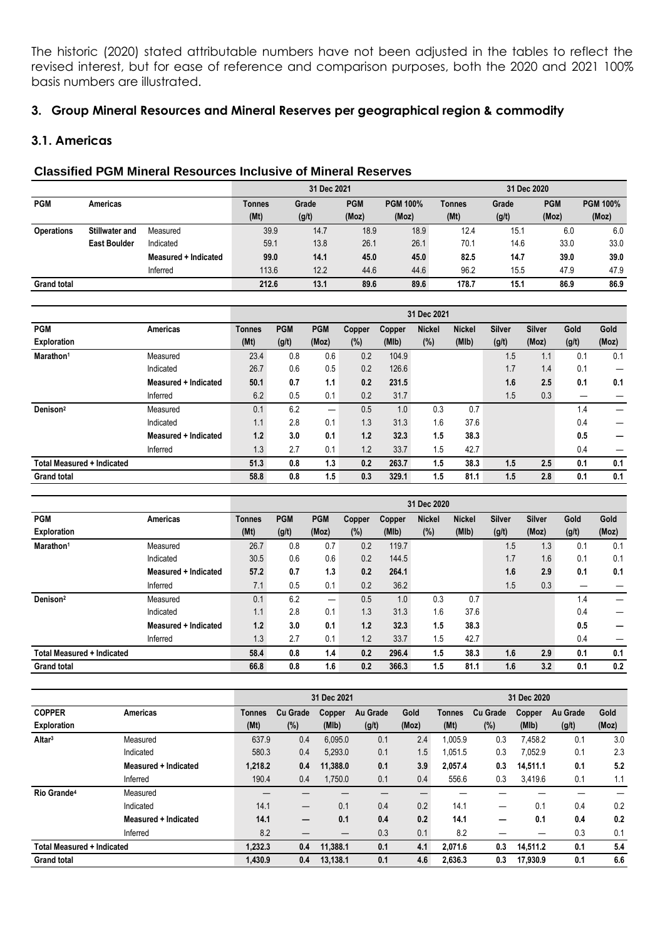The historic (2020) stated attributable numbers have not been adjusted in the tables to reflect the revised interest, but for ease of reference and comparison purposes, both the 2020 and 2021 100% basis numbers are illustrated.

# **3. Group Mineral Resources and Mineral Reserves per geographical region & commodity**

## **3.1. Americas**

## **Classified PGM Mineral Resources Inclusive of Mineral Reserves**

|                    |                       |                      | 31 Dec 2020<br>31 Dec 2021 |       |            |                 |        |       |            |                 |
|--------------------|-----------------------|----------------------|----------------------------|-------|------------|-----------------|--------|-------|------------|-----------------|
| <b>PGM</b>         | <b>Americas</b>       |                      | Tonnes                     | Grade | <b>PGM</b> | <b>PGM 100%</b> | Tonnes | Grade | <b>PGM</b> | <b>PGM 100%</b> |
|                    |                       |                      | (Mt)                       | (g/t) | (Moz)      | (Moz)           | (Mt)   | (g/t) | (Moz)      | (Moz)           |
| <b>Operations</b>  | <b>Stillwater and</b> | Measured             | 39.9                       | 14.7  | 18.9       | 18.9            | 12.4   | 15.1  | 6.0        | 6.0             |
|                    | <b>East Boulder</b>   | Indicated            | 59.1                       | 13.8  | 26.1       | 26.1            | 70.1   | 14.6  | 33.0       | 33.0            |
|                    |                       | Measured + Indicated | 99.0                       | 14.1  | 45.0       | 45.0            | 82.5   | 14.7  | 39.0       | 39.0            |
|                    |                       | Inferred             | 113.6                      | 12.2  | 44.6       | 44.6            | 96.2   | 15.5  | 47.9       | 47.9            |
| <b>Grand total</b> |                       |                      | 212.6                      | 13.1  | 89.6       | 89.6            | 178.7  | 15.1  | 86.9       | 86.9            |

|                                   |                      |               |            |            |        |        | 31 Dec 2021   |               |               |               |       |       |
|-----------------------------------|----------------------|---------------|------------|------------|--------|--------|---------------|---------------|---------------|---------------|-------|-------|
| <b>PGM</b>                        | <b>Americas</b>      | <b>Tonnes</b> | <b>PGM</b> | <b>PGM</b> | Copper | Copper | <b>Nickel</b> | <b>Nickel</b> | <b>Silver</b> | <b>Silver</b> | Gold  | Gold  |
| <b>Exploration</b>                |                      | (Mt)          | (g/t)      | (Moz)      | (%)    | (MIb)  | (%)           | (MIb)         | (g/t)         | (Moz)         | (g/t) | (Moz) |
| Marathon <sup>1</sup>             | Measured             | 23.4          | 0.8        | 0.6        | 0.2    | 104.9  |               |               | 1.5           | 1.1           | 0.1   | 0.1   |
|                                   | Indicated            | 26.7          | 0.6        | 0.5        | 0.2    | 126.6  |               |               | 1.7           | 1.4           | 0.1   |       |
|                                   | Measured + Indicated | 50.1          | 0.7        | 1.1        | 0.2    | 231.5  |               |               | 1.6           | 2.5           | 0.1   | 0.1   |
|                                   | Inferred             | 6.2           | 0.5        | 0.1        | 0.2    | 31.7   |               |               | 1.5           | 0.3           |       |       |
| Denison <sup>2</sup>              | Measured             | 0.1           | 6.2        | —          | 0.5    | 1.0    | 0.3           | 0.7           |               |               | 1.4   |       |
|                                   | Indicated            | 1.1           | 2.8        | 0.1        | 1.3    | 31.3   | 1.6           | 37.6          |               |               | 0.4   |       |
|                                   | Measured + Indicated | 1.2           | 3.0        | 0.1        | 1.2    | 32.3   | 1.5           | 38.3          |               |               | 0.5   |       |
|                                   | Inferred             | 1.3           | 2.7        | 0.1        | 1.2    | 33.7   | 1.5           | 42.7          |               |               | 0.4   |       |
| <b>Total Measured + Indicated</b> |                      | 51.3          | 0.8        | 1.3        | 0.2    | 263.7  | 1.5           | 38.3          | 1.5           | 2.5           | 0.1   | 0.1   |
| <b>Grand total</b>                |                      | 58.8          | 0.8        | 1.5        | 0.3    | 329.1  | 1.5           | 81.1          | 1.5           | 2.8           | 0.1   | 0.1   |

|                                   |                      |               |            |            |        |               | 31 Dec 2020   |               |               |               |       |       |
|-----------------------------------|----------------------|---------------|------------|------------|--------|---------------|---------------|---------------|---------------|---------------|-------|-------|
| <b>PGM</b>                        | <b>Americas</b>      | <b>Tonnes</b> | <b>PGM</b> | <b>PGM</b> | Copper | <b>Copper</b> | <b>Nickel</b> | <b>Nickel</b> | <b>Silver</b> | <b>Silver</b> | Gold  | Gold  |
| <b>Exploration</b>                |                      | (Mt)          | (g/t)      | (Moz)      | (%)    | (MIb)         | (%)           | (MIb)         | (g/t)         | (Moz)         | (g/t) | (Moz) |
| Marathon <sup>1</sup>             | Measured             | 26.7          | 0.8        | 0.7        | 0.2    | 119.7         |               |               | 1.5           | 1.3           | 0.1   | 0.1   |
|                                   | Indicated            | 30.5          | 0.6        | 0.6        | 0.2    | 144.5         |               |               | 1.7           | 1.6           | 0.1   | 0.1   |
|                                   | Measured + Indicated | 57.2          | 0.7        | 1.3        | 0.2    | 264.1         |               |               | 1.6           | 2.9           | 0.1   | 0.1   |
|                                   | Inferred             | 7.1           | 0.5        | 0.1        | 0.2    | 36.2          |               |               | 1.5           | 0.3           |       |       |
| Denison <sup>2</sup>              | Measured             | 0.1           | 6.2        | —          | 0.5    | 1.0           | 0.3           | 0.7           |               |               | 1.4   |       |
|                                   | Indicated            | 1.1           | 2.8        | 0.1        | 1.3    | 31.3          | 1.6           | 37.6          |               |               | 0.4   |       |
|                                   | Measured + Indicated | 1.2           | 3.0        | 0.1        | 1.2    | 32.3          | 1.5           | 38.3          |               |               | 0.5   |       |
|                                   | Inferred             | 1.3           | 2.7        | 0.1        | 1.2    | 33.7          | 1.5           | 42.7          |               |               | 0.4   |       |
| <b>Total Measured + Indicated</b> |                      | 58.4          | 0.8        | 1.4        | 0.2    | 296.4         | 1.5           | 38.3          | 1.6           | 2.9           | 0.1   | 0.1   |
| <b>Grand total</b>                |                      | 66.8          | 0.8        | 1.6        | 0.2    | 366.3         | 1.5           | 81.1          | 1.6           | 3.2           | 0.1   | 0.2   |

|                                   |                      |               |                          | 31 Dec 2021 |          |       | 31 Dec 2020   |                 |          |          |       |  |
|-----------------------------------|----------------------|---------------|--------------------------|-------------|----------|-------|---------------|-----------------|----------|----------|-------|--|
| <b>COPPER</b>                     | <b>Americas</b>      | <b>Tonnes</b> | <b>Cu Grade</b>          | Copper      | Au Grade | Gold  | <b>Tonnes</b> | <b>Cu Grade</b> | Copper   | Au Grade | Gold  |  |
| <b>Exploration</b>                |                      | (Mt)          | (%)                      | (MIb)       | (g/t)    | (Moz) | (Mt)          | (%)             | (MIb)    | (g/t)    | (Moz) |  |
| Altar <sup>3</sup>                | Measured             | 637.9         | 0.4                      | 6.095.0     | 0.1      | 2.4   | 1.005.9       | 0.3             | 7,458.2  | 0.1      | 3.0   |  |
|                                   | Indicated            | 580.3         | 0.4                      | 5.293.0     | 0.1      | 1.5   | 1,051.5       | 0.3             | 7.052.9  | 0.1      | 2.3   |  |
|                                   | Measured + Indicated | 1.218.2       | 0.4                      | 11.388.0    | 0.1      | 3.9   | 2,057.4       | 0.3             | 14,511.1 | 0.1      | 5.2   |  |
|                                   | Inferred             | 190.4         | 0.4                      | 1,750.0     | 0.1      | 0.4   | 556.6         | 0.3             | 3,419.6  | 0.1      | 1.1   |  |
| Rio Grande <sup>4</sup>           | Measured             |               |                          |             |          |       |               |                 |          |          |       |  |
|                                   | Indicated            | 14.1          | $\overline{\phantom{0}}$ | 0.1         | 0.4      | 0.2   | 14.1          |                 | 0.1      | 0.4      | 0.2   |  |
|                                   | Measured + Indicated | 14.1          | —                        | 0.1         | 0.4      | 0.2   | 14.1          | _               | 0.1      | 0.4      | 0.2   |  |
|                                   | Inferred             | 8.2           |                          |             | 0.3      | 0.1   | 8.2           |                 | –        | 0.3      | 0.1   |  |
| <b>Total Measured + Indicated</b> |                      | 1.232.3       | 0.4                      | 11.388.1    | 0.1      | 4.1   | 2.071.6       | 0.3             | 14.511.2 | 0.1      | 5.4   |  |
| <b>Grand total</b>                |                      | 1,430.9       | 0.4                      | 13.138.1    | 0.1      | 4.6   | 2,636.3       | 0.3             | 17.930.9 | 0.1      | 6.6   |  |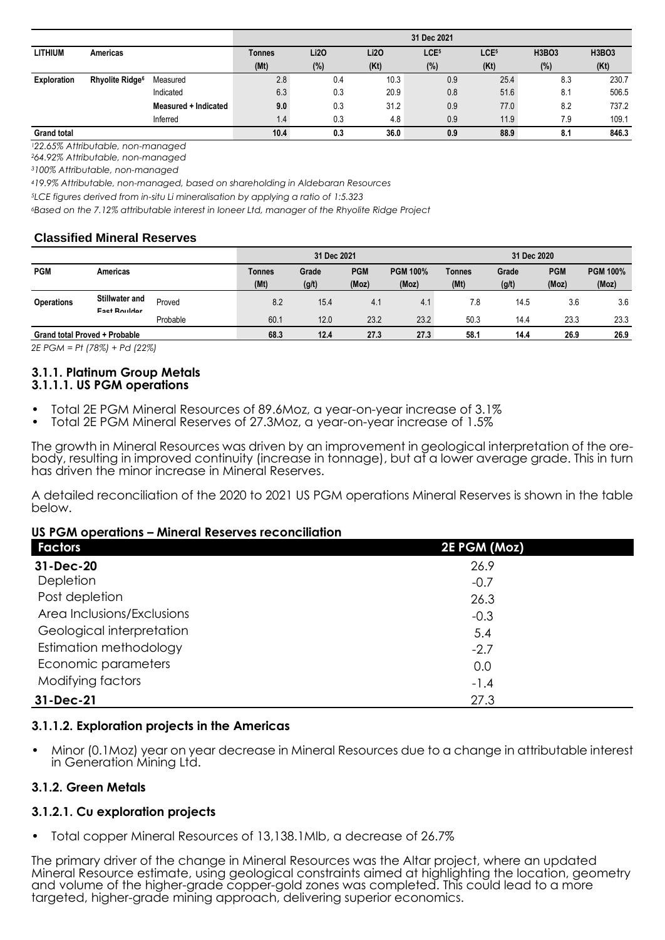|                    |                             |                      | 31 Dec 2021 |      |      |                  |                  |              |              |  |  |  |
|--------------------|-----------------------------|----------------------|-------------|------|------|------------------|------------------|--------------|--------------|--|--|--|
| LITHIUM            | Americas                    |                      | Tonnes      | Li2O | Li2O | LCE <sub>5</sub> | LCE <sub>5</sub> | <b>H3BO3</b> | <b>H3BO3</b> |  |  |  |
|                    |                             |                      | (Mt)        | (%)  | (Kt) | $(\%)$           | (Kt)             | (%)          | (Kt)         |  |  |  |
| <b>Exploration</b> | Rhyolite Ridge <sup>6</sup> | Measured             | 2.8         | 0.4  | 10.3 | 0.9              | 25.4             | 8.3          | 230.7        |  |  |  |
|                    |                             | Indicated            | 6.3         | 0.3  | 20.9 | 0.8              | 51.6             | 8.1          | 506.5        |  |  |  |
|                    |                             | Measured + Indicated | 9.0         | 0.3  | 31.2 | 0.9              | 77.0             | 8.2          | 737.2        |  |  |  |
|                    |                             | Inferred             | 1.4         | 0.3  | 4.8  | 0.9              | 11.9             | 7.9          | 109.1        |  |  |  |
| <b>Grand total</b> |                             |                      | 10.4        | 0.3  | 36.0 | 0.9              | 88.9             | 8.1          | 846.3        |  |  |  |

*<sup>1</sup>22.65% Attributable, non-managed*

*<sup>2</sup>64.92% Attributable, non-managed*

*<sup>3</sup>100% Attributable, non-managed*

*<sup>4</sup>19.9% Attributable, non-managed, based on shareholding in Aldebaran Resources*

*<sup>5</sup>LCE figures derived from in-situ Li mineralisation by applying a ratio of 1:5.323*

*<sup>6</sup>Based on the 7.12% attributable interest in Ioneer Ltd, manager of the Rhyolite Ridge Project*

#### **Classified Mineral Reserves**

|                                      |                                       |          | 31 Dec 2021<br>31 Dec 2020 |       |            |                 |               |       |            |                 |
|--------------------------------------|---------------------------------------|----------|----------------------------|-------|------------|-----------------|---------------|-------|------------|-----------------|
| <b>PGM</b>                           | Americas                              |          | Tonnes                     | Grade | <b>PGM</b> | <b>PGM 100%</b> | <b>Tonnes</b> | Grade | <b>PGM</b> | <b>PGM 100%</b> |
|                                      |                                       |          | (Mt)                       | (g/t) | (Moz)      | (Moz)           | (Mt)          | (g/t) | (Moz)      | (Moz)           |
| <b>Operations</b>                    | <b>Stillwater and</b><br>Eact Poulder | Proved   | 8.2                        | 15.4  | 4.1        | 4.1             | 7.8           | 14.5  | 3.6        | 3.6             |
|                                      |                                       | Probable | 60.1                       | 12.0  | 23.2       | 23.2            | 50.3          | 14.4  | 23.3       | 23.3            |
| <b>Grand total Proved + Probable</b> |                                       | 68.3     | 12.4                       | 27.3  | 27.3       | 58.1            | 14.4          | 26.9  | 26.9       |                 |

*2E PGM = Pt (78%) + Pd (22%)*

#### **3.1.1. Platinum Group Metals 3.1.1.1. US PGM operations**

- Total 2E PGM Mineral Resources of 89.6Moz, a year-on-year increase of 3.1%
- Total 2E PGM Mineral Reserves of 27.3Moz, a year-on-year increase of 1.5%

The growth in Mineral Resources was driven by an improvement in geological interpretation of the orebody, resulting in improved continuity (increase in tonnage), but at a lower average grade. This in turn has driven the minor increase in Mineral Reserves.

A detailed reconciliation of the 2020 to 2021 US PGM operations Mineral Reserves is shown in the table below.

#### **US PGM operations – Mineral Reserves reconciliation**

| <b>Factors</b>             | 2E PGM (Moz) |
|----------------------------|--------------|
| 31-Dec-20                  | 26.9         |
| Depletion                  | $-0.7$       |
| Post depletion             | 26.3         |
| Area Inclusions/Exclusions | $-0.3$       |
| Geological interpretation  | 5.4          |
| Estimation methodology     | $-2.7$       |
| Economic parameters        | 0.0          |
| Modifying factors          | $-1.4$       |
| 31-Dec-21                  | 27.3         |

#### **3.1.1.2. Exploration projects in the Americas**

• Minor (0.1Moz) year on year decrease in Mineral Resources due to a change in attributable interest in Generation Mining Ltd.

## **3.1.2. Green Metals**

## **3.1.2.1. Cu exploration projects**

• Total copper Mineral Resources of 13,138.1Mlb, a decrease of 26.7%

The primary driver of the change in Mineral Resources was the Altar project, where an updated Mineral Resource estimate, using geological constraints aimed at highlighting the location, geometry and volume of the higher-grade copper-gold zones was completed. This could lead to a more targeted, higher-grade mining approach, delivering superior economics.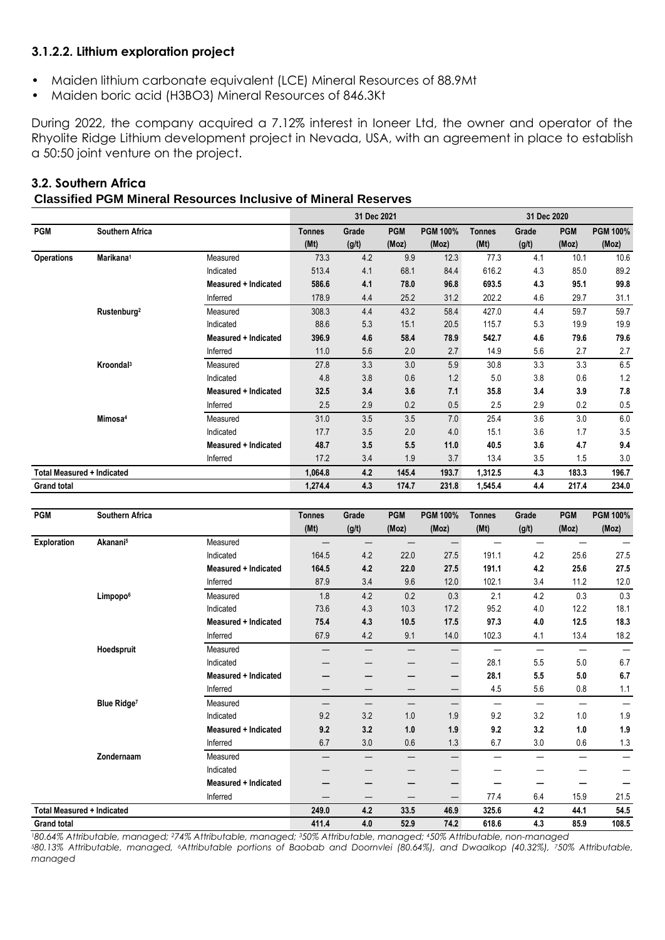## **3.1.2.2. Lithium exploration project**

- Maiden lithium carbonate equivalent (LCE) Mineral Resources of 88.9Mt
- Maiden boric acid (H3BO3) Mineral Resources of 846.3Kt

During 2022, the company acquired a 7.12% interest in Ioneer Ltd, the owner and operator of the Rhyolite Ridge Lithium development project in Nevada, USA, with an agreement in place to establish a 50:50 joint venture on the project.

|                                   |                         |                      |               | 31 Dec 2021 |            |                 |               | 31 Dec 2020 |            |                 |
|-----------------------------------|-------------------------|----------------------|---------------|-------------|------------|-----------------|---------------|-------------|------------|-----------------|
| <b>PGM</b>                        | <b>Southern Africa</b>  |                      | <b>Tonnes</b> | Grade       | <b>PGM</b> | <b>PGM 100%</b> | <b>Tonnes</b> | Grade       | <b>PGM</b> | <b>PGM 100%</b> |
|                                   |                         |                      | (Mt)          | (g/t)       | (Moz)      | (Moz)           | (Mt)          | (g/t)       | (Moz)      | (Moz)           |
| <b>Operations</b>                 | Marikana <sup>1</sup>   | Measured             | 73.3          | 4.2         | 9.9        | 12.3            | 77.3          | 4.1         | 10.1       | 10.6            |
|                                   |                         | Indicated            | 513.4         | 4.1         | 68.1       | 84.4            | 616.2         | 4.3         | 85.0       | 89.2            |
|                                   |                         | Measured + Indicated | 586.6         | 4.1         | 78.0       | 96.8            | 693.5         | 4.3         | 95.1       | 99.8            |
|                                   |                         | Inferred             | 178.9         | 4.4         | 25.2       | 31.2            | 202.2         | 4.6         | 29.7       | 31.1            |
|                                   | Rustenburg <sup>2</sup> | Measured             | 308.3         | 4.4         | 43.2       | 58.4            | 427.0         | 4.4         | 59.7       | 59.7            |
|                                   |                         | Indicated            | 88.6          | 5.3         | 15.1       | 20.5            | 115.7         | 5.3         | 19.9       | 19.9            |
|                                   |                         | Measured + Indicated | 396.9         | 4.6         | 58.4       | 78.9            | 542.7         | 4.6         | 79.6       | 79.6            |
|                                   |                         | Inferred             | 11.0          | 5.6         | 2.0        | 2.7             | 14.9          | 5.6         | 2.7        | 2.7             |
|                                   | Kroondal <sup>3</sup>   | Measured             | 27.8          | 3.3         | 3.0        | 5.9             | 30.8          | 3.3         | 3.3        | 6.5             |
|                                   |                         | Indicated            | 4.8           | 3.8         | 0.6        | 1.2             | 5.0           | 3.8         | 0.6        | 1.2             |
|                                   |                         | Measured + Indicated | 32.5          | 3.4         | 3.6        | 7.1             | 35.8          | 3.4         | 3.9        | 7.8             |
|                                   |                         | Inferred             | 2.5           | 2.9         | 0.2        | 0.5             | 2.5           | 2.9         | 0.2        | 0.5             |
|                                   | Mimosa <sup>4</sup>     | Measured             | 31.0          | 3.5         | 3.5        | 7.0             | 25.4          | 3.6         | 3.0        | 6.0             |
|                                   |                         | Indicated            | 17.7          | 3.5         | 2.0        | 4.0             | 15.1          | 3.6         | 1.7        | 3.5             |
|                                   |                         | Measured + Indicated | 48.7          | 3.5         | 5.5        | 11.0            | 40.5          | 3.6         | 4.7        | 9.4             |
|                                   |                         | Inferred             | 17.2          | 3.4         | 1.9        | 3.7             | 13.4          | 3.5         | 1.5        | 3.0             |
| <b>Total Measured + Indicated</b> |                         |                      | 1,064.8       | 4.2         | 145.4      | 193.7           | 1,312.5       | 4.3         | 183.3      | 196.7           |
| <b>Grand total</b>                |                         |                      | 1,274.4       | 4.3         | 174.7      | 231.8           | 1,545.4       | 4.4         | 217.4      | 234.0           |

## **3.2. Southern Africa Classified PGM Mineral Resources Inclusive of Mineral Reserves**

| <b>PGM</b>                                              | Southern Africa      |                             | <b>Tonnes</b> | Grade | <b>PGM</b> | <b>PGM 100%</b> | <b>Tonnes</b>            | Grade                    | <b>PGM</b>               | <b>PGM 100%</b> |
|---------------------------------------------------------|----------------------|-----------------------------|---------------|-------|------------|-----------------|--------------------------|--------------------------|--------------------------|-----------------|
|                                                         |                      |                             | (Mt)          | (g/t) | (Moz)      | (Moz)           | (Mt)                     | (g/t)                    | (Moz)                    | (Moz)           |
| <b>Exploration</b><br><b>Total Measured + Indicated</b> | Akanani <sup>5</sup> | Measured                    |               |       |            | —               |                          |                          |                          |                 |
|                                                         |                      | Indicated                   | 164.5         | 4.2   | 22.0       | 27.5            | 191.1                    | 4.2                      | 25.6                     | 27.5            |
|                                                         |                      | <b>Measured + Indicated</b> | 164.5         | 4.2   | 22.0       | 27.5            | 191.1                    | 4.2                      | 25.6                     | 27.5            |
|                                                         |                      | Inferred                    | 87.9          | 3.4   | 9.6        | 12.0            | 102.1                    | 3.4                      | 11.2                     | 12.0            |
|                                                         | Limpopo <sup>6</sup> | Measured                    | 1.8           | 4.2   | 0.2        | 0.3             | 2.1                      | 4.2                      | 0.3                      | 0.3             |
|                                                         |                      | Indicated                   | 73.6          | 4.3   | 10.3       | 17.2            | 95.2                     | 4.0                      | 12.2                     | 18.1            |
|                                                         |                      | <b>Measured + Indicated</b> | 75.4          | 4.3   | 10.5       | 17.5            | 97.3                     | 4.0                      | 12.5                     | 18.3            |
|                                                         |                      | Inferred                    | 67.9          | 4.2   | 9.1        | 14.0            | 102.3                    | 4.1                      | 13.4                     | 18.2            |
|                                                         | Hoedspruit           | Measured                    |               |       | —          | —               |                          |                          | —                        |                 |
|                                                         |                      | Indicated                   |               |       |            | —               | 28.1                     | 5.5                      | 5.0                      | 6.7             |
|                                                         |                      | <b>Measured + Indicated</b> | –             |       | -          | —               | 28.1                     | 5.5                      | 5.0                      | 6.7             |
|                                                         |                      | Inferred                    |               |       | –          | —               | 4.5                      | 5.6                      | 0.8                      | 1.1             |
|                                                         | <b>Blue Ridge7</b>   | Measured                    |               |       | —          | —               | $\overline{\phantom{0}}$ | $\overline{\phantom{0}}$ | $\overline{\phantom{0}}$ |                 |
|                                                         |                      | Indicated                   | 9.2           | 3.2   | 1.0        | 1.9             | 9.2                      | 3.2                      | 1.0                      | 1.9             |
|                                                         |                      | <b>Measured + Indicated</b> | 9.2           | 3.2   | 1.0        | 1.9             | 9.2                      | 3.2                      | 1.0                      | 1.9             |
|                                                         |                      | Inferred                    | 6.7           | 3.0   | 0.6        | 1.3             | 6.7                      | 3.0                      | 0.6                      | 1.3             |
|                                                         | Zondernaam           | Measured                    |               |       | –          | —               |                          |                          | -                        |                 |
|                                                         |                      | Indicated                   |               |       |            |                 |                          |                          |                          |                 |
|                                                         |                      | <b>Measured + Indicated</b> |               |       | –          | –               |                          |                          |                          |                 |
|                                                         |                      | Inferred                    |               |       |            | —               | 77.4                     | 6.4                      | 15.9                     | 21.5            |
|                                                         |                      |                             | 249.0         | 4.2   | 33.5       | 46.9            | 325.6                    | 4.2                      | 44.1                     | 54.5            |
| <b>Grand total</b>                                      |                      |                             | 411.4         | 4.0   | 52.9       | 74.2            | 618.6                    | 4.3                      | 85.9                     | 108.5           |

*<sup>1</sup>80.64% Attributable, managed; 274% Attributable, managed; 350% Attributable, managed; 450% Attributable, non-managed <sup>5</sup>80.13% Attributable, managed, 6Attributable portions of Baobab and Doornvlei (80.64%), and Dwaalkop (40.32%), 750% Attributable, managed*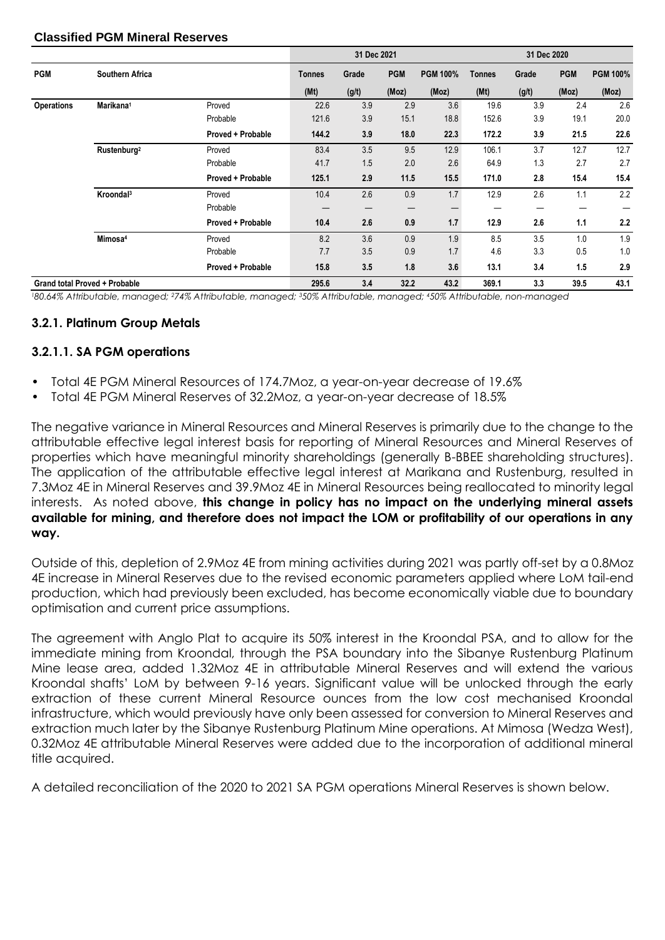#### **Classified PGM Mineral Reserves**

|                   |                                      |                   |               | 31 Dec 2021 |            |                 | 31 Dec 2020 |       |            |                 |  |
|-------------------|--------------------------------------|-------------------|---------------|-------------|------------|-----------------|-------------|-------|------------|-----------------|--|
| <b>PGM</b>        | <b>Southern Africa</b>               |                   | <b>Tonnes</b> | Grade       | <b>PGM</b> | <b>PGM 100%</b> | Tonnes      | Grade | <b>PGM</b> | <b>PGM 100%</b> |  |
|                   |                                      |                   | (Mt)          | (g/t)       | (Moz)      | (Moz)           | (Mt)        | (g/t) | (Moz)      | (Moz)           |  |
| <b>Operations</b> | Marikana <sup>1</sup>                | Proved            | 22.6          | 3.9         | 2.9        | 3.6             | 19.6        | 3.9   | 2.4        | 2.6             |  |
|                   |                                      | Probable          | 121.6         | 3.9         | 15.1       | 18.8            | 152.6       | 3.9   | 19.1       | 20.0            |  |
|                   |                                      | Proved + Probable | 144.2         | 3.9         | 18.0       | 22.3            | 172.2       | 3.9   | 21.5       | 22.6            |  |
|                   | Rustenburg <sup>2</sup>              | Proved            | 83.4          | 3.5         | 9.5        | 12.9            | 106.1       | 3.7   | 12.7       | 12.7            |  |
|                   |                                      | Probable          | 41.7          | 1.5         | 2.0        | 2.6             | 64.9        | 1.3   | 2.7        | 2.7             |  |
|                   |                                      | Proved + Probable | 125.1         | 2.9         | 11.5       | 15.5            | 171.0       | 2.8   | 15.4       | 15.4            |  |
|                   | Kroondal <sup>3</sup>                | Proved            | 10.4          | 2.6         | 0.9        | 1.7             | 12.9        | 2.6   | 1.1        | 2.2             |  |
|                   |                                      | Probable          | —             |             | —          |                 |             | —     | –          |                 |  |
|                   |                                      | Proved + Probable | 10.4          | 2.6         | 0.9        | 1.7             | 12.9        | 2.6   | 1.1        | 2.2             |  |
|                   | Mimosa <sup>4</sup>                  | Proved            | 8.2           | 3.6         | 0.9        | 1.9             | 8.5         | 3.5   | 1.0        | 1.9             |  |
|                   |                                      | Probable          | 7.7           | 3.5         | 0.9        | 1.7             | 4.6         | 3.3   | 0.5        | 1.0             |  |
|                   |                                      | Proved + Probable | 15.8          | 3.5         | 1.8        | 3.6             | 13.1        | 3.4   | 1.5        | 2.9             |  |
|                   | <b>Grand total Proved + Probable</b> |                   | 295.6         | 3.4         | 32.2       | 43.2            | 369.1       | 3.3   | 39.5       | 43.1            |  |

*<sup>1</sup>80.64% Attributable, managed; 274% Attributable, managed; 350% Attributable, managed; 450% Attributable, non-managed*

#### **3.2.1. Platinum Group Metals**

#### **3.2.1.1. SA PGM operations**

- Total 4E PGM Mineral Resources of 174.7Moz, a year-on-year decrease of 19.6%
- Total 4E PGM Mineral Reserves of 32.2Moz, a year-on-year decrease of 18.5%

The negative variance in Mineral Resources and Mineral Reserves is primarily due to the change to the attributable effective legal interest basis for reporting of Mineral Resources and Mineral Reserves of properties which have meaningful minority shareholdings (generally B-BBEE shareholding structures). The application of the attributable effective legal interest at Marikana and Rustenburg, resulted in 7.3Moz 4E in Mineral Reserves and 39.9Moz 4E in Mineral Resources being reallocated to minority legal interests. As noted above, **this change in policy has no impact on the underlying mineral assets available for mining, and therefore does not impact the LOM or profitability of our operations in any way.**

Outside of this, depletion of 2.9Moz 4E from mining activities during 2021 was partly off-set by a 0.8Moz 4E increase in Mineral Reserves due to the revised economic parameters applied where LoM tail-end production, which had previously been excluded, has become economically viable due to boundary optimisation and current price assumptions.

The agreement with Anglo Plat to acquire its 50% interest in the Kroondal PSA, and to allow for the immediate mining from Kroondal, through the PSA boundary into the Sibanye Rustenburg Platinum Mine lease area, added 1.32Moz 4E in attributable Mineral Reserves and will extend the various Kroondal shafts' LoM by between 9-16 years. Significant value will be unlocked through the early extraction of these current Mineral Resource ounces from the low cost mechanised Kroondal infrastructure, which would previously have only been assessed for conversion to Mineral Reserves and extraction much later by the Sibanye Rustenburg Platinum Mine operations. At Mimosa (Wedza West), 0.32Moz 4E attributable Mineral Reserves were added due to the incorporation of additional mineral title acquired.

A detailed reconciliation of the 2020 to 2021 SA PGM operations Mineral Reserves is shown below.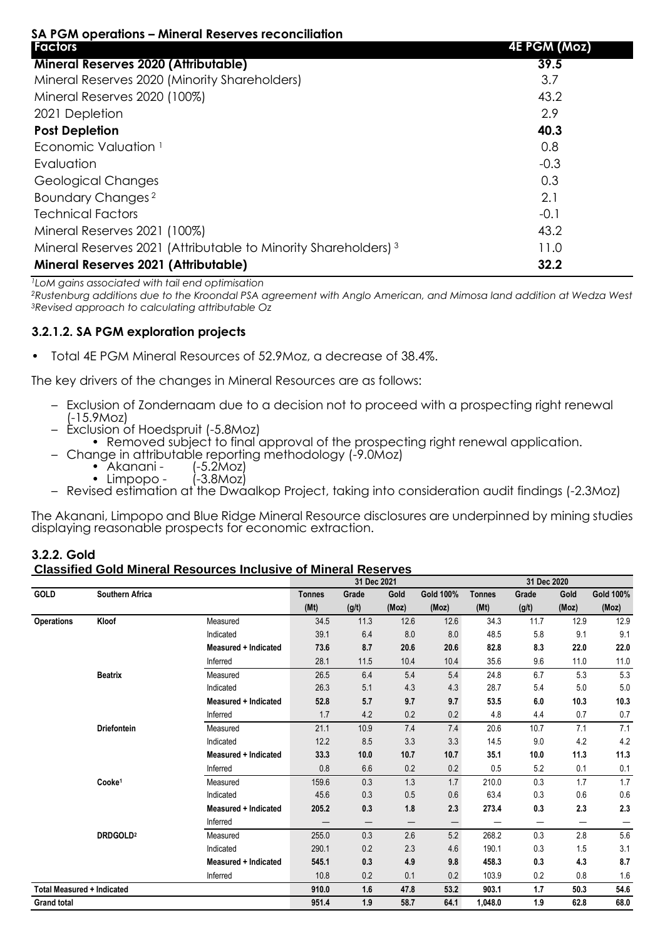|                   | SA PGM operations – Mineral Reserves reconciliation |  |
|-------------------|-----------------------------------------------------|--|
| <b>Experience</b> |                                                     |  |

| <b>Factors</b>                                                             | <b>4E PGM (Moz)</b> |
|----------------------------------------------------------------------------|---------------------|
| <b>Mineral Reserves 2020 (Attributable)</b>                                | 39.5                |
| Mineral Reserves 2020 (Minority Shareholders)                              | 3.7                 |
| Mineral Reserves 2020 (100%)                                               | 43.2                |
| 2021 Depletion                                                             | 2.9                 |
| <b>Post Depletion</b>                                                      | 40.3                |
| Economic Valuation <sup>1</sup>                                            | 0.8                 |
| Evaluation                                                                 | $-0.3$              |
| <b>Geological Changes</b>                                                  | 0.3                 |
| Boundary Changes <sup>2</sup>                                              | 2.1                 |
| <b>Technical Factors</b>                                                   | $-0.1$              |
| Mineral Reserves 2021 (100%)                                               | 43.2                |
| Mineral Reserves 2021 (Attributable to Minority Shareholders) <sup>3</sup> | 11.0                |
| <b>Mineral Reserves 2021 (Attributable)</b>                                | 32.2                |

*<sup>1</sup>LoM gains associated with tail end optimisation*

*<sup>2</sup>Rustenburg additions due to the Kroondal PSA agreement with Anglo American, and Mimosa land addition at Wedza West <sup>3</sup>Revised approach to calculating attributable Oz*

## **3.2.1.2. SA PGM exploration projects**

• Total 4E PGM Mineral Resources of 52.9Moz, a decrease of 38.4%.

The key drivers of the changes in Mineral Resources are as follows:

- Exclusion of Zondernaam due to a decision not to proceed with a prospecting right renewal (-15.9Moz)
- Exclusion of Hoedspruit (-5.8Moz)
	- Removed subject to final approval of the prospecting right renewal application.
- Change in attributable reporting methodology (-9.0Moz)<br>• Akanani (-5.2Moz)<br>• Limpopo (-3.8Moz)
	- $\bullet$  Akanani -
	- $\bullet$  Limpopo -
- Revised estimation at the Dwaalkop Project, taking into consideration audit findings (-2.3Moz)

The Akanani, Limpopo and Blue Ridge Mineral Resource disclosures are underpinned by mining studies displaying reasonable prospects for economic extraction.

#### **3.2.2. Gold Classified Gold Mineral Resources Inclusive of Mineral Reserves**

|                                   |                        |                             |               | 31 Dec 2021       |       |                  |               | 31 Dec 2020 |       |                  |
|-----------------------------------|------------------------|-----------------------------|---------------|-------------------|-------|------------------|---------------|-------------|-------|------------------|
| GOLD                              | <b>Southern Africa</b> |                             | <b>Tonnes</b> | Grade             | Gold  | <b>Gold 100%</b> | <b>Tonnes</b> | Grade       | Gold  | <b>Gold 100%</b> |
|                                   |                        |                             | (Mt)          | (g/t)             | (Moz) | (Moz)            | (Mt)          | (g/t)       | (Moz) | (Moz)            |
| <b>Operations</b>                 | Kloof                  | Measured                    | 34.5          | 11.3              | 12.6  | 12.6             | 34.3          | 11.7        | 12.9  | 12.9             |
|                                   |                        | Indicated                   | 39.1          | 6.4               | 8.0   | 8.0              | 48.5          | 5.8         | 9.1   | 9.1              |
|                                   |                        | <b>Measured + Indicated</b> | 73.6          | 8.7               | 20.6  | 20.6             | 82.8          | 8.3         | 22.0  | 22.0             |
|                                   |                        | Inferred                    | 28.1          | 11.5              | 10.4  | 10.4             | 35.6          | 9.6         | 11.0  | 11.0             |
|                                   | <b>Beatrix</b>         | Measured                    | 26.5          | 6.4               | 5.4   | 5.4              | 24.8          | 6.7         | 5.3   | 5.3              |
|                                   |                        | Indicated                   | 26.3          | 5.1               | 4.3   | 4.3              | 28.7          | 5.4         | 5.0   | 5.0              |
|                                   |                        | Measured + Indicated        | 52.8          | 5.7               | 9.7   | 9.7              | 53.5          | 6.0         | 10.3  | 10.3             |
|                                   |                        | Inferred                    | 1.7           | 4.2               | 0.2   | 0.2              | 4.8           | 4.4         | 0.7   | 0.7              |
|                                   | <b>Driefontein</b>     | Measured                    | 21.1          | 10.9              | 7.4   | 7.4              | 20.6          | 10.7        | 7.1   | 7.1              |
|                                   |                        | Indicated                   | 12.2          | 8.5               | 3.3   | 3.3              | 14.5          | 9.0         | 4.2   | 4.2              |
|                                   |                        | Measured + Indicated        | 33.3          | 10.0              | 10.7  | 10.7             | 35.1          | 10.0        | 11.3  | 11.3             |
|                                   |                        | Inferred                    | 0.8           | 6.6               | 0.2   | 0.2              | 0.5           | 5.2         | 0.1   | 0.1              |
|                                   | Cooke <sup>1</sup>     | Measured                    | 159.6         | 0.3               | 1.3   | 1.7              | 210.0         | 0.3         | 1.7   | 1.7              |
|                                   |                        | Indicated                   | 45.6          | 0.3               | 0.5   | 0.6              | 63.4          | 0.3         | 0.6   | $0.6\,$          |
|                                   |                        | <b>Measured + Indicated</b> | 205.2         | 0.3               | 1.8   | 2.3              | 273.4         | 0.3         | 2.3   | 2.3              |
|                                   |                        | Inferred                    | —             | $\qquad \qquad -$ | —     | —                |               | —           |       |                  |
|                                   | DRDGOLD <sup>2</sup>   | Measured                    | 255.0         | 0.3               | 2.6   | 5.2              | 268.2         | 0.3         | 2.8   | 5.6              |
|                                   |                        | Indicated                   | 290.1         | 0.2               | 2.3   | 4.6              | 190.1         | 0.3         | 1.5   | 3.1              |
|                                   |                        | <b>Measured + Indicated</b> | 545.1         | 0.3               | 4.9   | 9.8              | 458.3         | 0.3         | 4.3   | 8.7              |
|                                   |                        | Inferred                    | 10.8          | 0.2               | 0.1   | 0.2              | 103.9         | 0.2         | 0.8   | 1.6              |
| <b>Total Measured + Indicated</b> |                        |                             | 910.0         | 1.6               | 47.8  | 53.2             | 903.1         | 1.7         | 50.3  | 54.6             |
| <b>Grand total</b>                |                        |                             | 951.4         | 1.9               | 58.7  | 64.1             | 1,048.0       | 1.9         | 62.8  | 68.0             |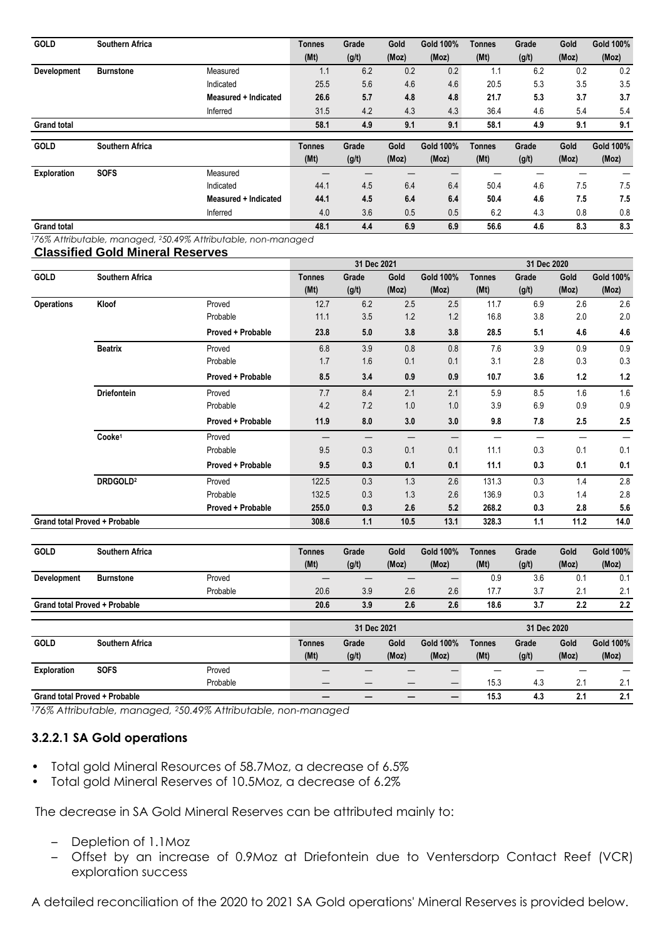| <b>GOLD</b>        | <b>Southern Africa</b> |                      | <b>Tonnes</b> | Grade | Gold  | Gold 100%        | Tonnes        | Grade | Gold  | <b>Gold 100%</b> |
|--------------------|------------------------|----------------------|---------------|-------|-------|------------------|---------------|-------|-------|------------------|
|                    |                        |                      | (Mt)          | (g/t) | (Moz) | (Moz)            | (Mt)          | (g/t) | (Moz) | (Moz)            |
| Development        | <b>Burnstone</b>       | Measured             | 1.1           | 6.2   | 0.2   | 0.2              |               | 6.2   | 0.2   | 0.2              |
|                    |                        | Indicated            | 25.5          | 5.6   | 4.6   | 4.6              | 20.5          | 5.3   | 3.5   | 3.5              |
|                    |                        | Measured + Indicated | 26.6          | 5.7   | 4.8   | 4.8              | 21.7          | 5.3   | 3.7   | 3.7              |
|                    |                        | Inferred             | 31.5          | 4.2   | 4.3   | 4.3              | 36.4          | 4.6   | 5.4   | 5.4              |
| <b>Grand total</b> |                        |                      | 58.1          | 4.9   | 9.1   | 9.1              | 58.1          | 4.9   | 9.1   | 9.1              |
|                    |                        |                      |               |       |       |                  |               |       |       |                  |
| <b>GOLD</b>        | <b>Southern Africa</b> |                      | <b>Tonnes</b> | Grade | Gold  | <b>Gold 100%</b> | <b>Tonnes</b> | Grade | Gold  | <b>Gold 100%</b> |
|                    |                        |                      | (Mt)          | (g/t) | (Moz) | (Moz)            | (Mt)          | (g/t) | (Moz) | (Moz)            |
| <b>Exploration</b> | <b>SOFS</b>            | Measured             |               |       |       |                  |               |       |       |                  |
|                    |                        | Indicated            | 44.1          | 4.5   | 6.4   | 6.4              | 50.4          | 4.6   | 7.5   | 7.5              |
|                    |                        | Measured + Indicated | 44.1          | 4.5   | 6.4   | 6.4              | 50.4          | 4.6   | 7.5   | 7.5              |
|                    |                        | Inferred             | 4.0           | 3.6   | 0.5   | 0.5              | 6.2           | 4.3   | 0.8   | 0.8              |

*<sup>1</sup>76% Attributable, managed, 250.49% Attributable, non-managed* **Classified Gold Mineral Reserves**

| ,,,,,,,,,,        | <u>sena ministai itoosi voo</u>      |                          |                       | 31 Dec 2021    |               |                    | 31 Dec 2020           |                |               |                    |
|-------------------|--------------------------------------|--------------------------|-----------------------|----------------|---------------|--------------------|-----------------------|----------------|---------------|--------------------|
| GOLD              | <b>Southern Africa</b>               |                          | <b>Tonnes</b><br>(Mt) | Grade<br>(g/t) | Gold<br>(Moz) | Gold 100%<br>(Moz) | <b>Tonnes</b><br>(Mt) | Grade<br>(g/t) | Gold<br>(Moz) | Gold 100%<br>(Moz) |
| <b>Operations</b> | Kloof                                | Proved                   | 12.7                  | 6.2            | 2.5           | 2.5                | 11.7                  | 6.9            | 2.6           | 2.6                |
|                   |                                      | Probable                 | 11.1                  | 3.5            | 1.2           | 1.2                | 16.8                  | 3.8            | 2.0           | 2.0                |
|                   |                                      | <b>Proved + Probable</b> | 23.8                  | 5.0            | 3.8           | 3.8                | 28.5                  | 5.1            | 4.6           | 4.6                |
|                   | <b>Beatrix</b>                       | Proved                   | 6.8                   | 3.9            | 0.8           | 0.8                | 7.6                   | 3.9            | 0.9           | 0.9                |
|                   |                                      | Probable                 | 1.7                   | 1.6            | 0.1           | 0.1                | 3.1                   | 2.8            | 0.3           | 0.3                |
|                   |                                      | Proved + Probable        | 8.5                   | 3.4            | 0.9           | 0.9                | 10.7                  | 3.6            | 1.2           | 1.2                |
|                   | <b>Driefontein</b>                   | Proved                   | 7.7                   | 8.4            | 2.1           | 2.1                | 5.9                   | 8.5            | 1.6           | 1.6                |
|                   |                                      | Probable                 | 4.2                   | 7.2            | 1.0           | 1.0                | 3.9                   | 6.9            | 0.9           | 0.9                |
|                   |                                      | Proved + Probable        | 11.9                  | 8.0            | 3.0           | 3.0                | 9.8                   | 7.8            | 2.5           | 2.5                |
|                   | Cooke <sup>1</sup>                   | Proved                   |                       |                |               |                    |                       |                |               |                    |
|                   |                                      | Probable                 | 9.5                   | 0.3            | 0.1           | 0.1                | 11.1                  | 0.3            | 0.1           | 0.1                |
|                   |                                      | Proved + Probable        | 9.5                   | 0.3            | 0.1           | 0.1                | 11.1                  | 0.3            | 0.1           | 0.1                |
|                   | DRDGOLD <sup>2</sup>                 | Proved                   | 122.5                 | 0.3            | 1.3           | 2.6                | 131.3                 | 0.3            | 1.4           | 2.8                |
|                   |                                      | Probable                 | 132.5                 | 0.3            | 1.3           | 2.6                | 136.9                 | 0.3            | 1.4           | 2.8                |
|                   |                                      | Proved + Probable        | 255.0                 | 0.3            | 2.6           | 5.2                | 268.2                 | 0.3            | 2.8           | 5.6                |
|                   | <b>Grand total Proved + Probable</b> |                          | 308.6                 | 1.1            | 10.5          | 13.1               | 328.3                 | 1.1            | 11.2          | 14.0               |

| <b>GOLD</b>                          | Southern Africa  |          | <b>Tonnes</b> | Grade | Gold  | Gold 100% | <b>Tonnes</b> | Grade | Gold           | Gold 100% |
|--------------------------------------|------------------|----------|---------------|-------|-------|-----------|---------------|-------|----------------|-----------|
|                                      |                  |          | (Mt)          | (g/t) | (Moz) | (Moz)     | (Mt)          | (g/t) | (Moz)          | (Moz)     |
| <b>Development</b>                   | <b>Burnstone</b> | Proved   | —             |       |       | –         | 0.9           | 3.6   | 0.1            | 0.1       |
|                                      |                  | Probable | 20.6          | 3.9   | 2.6   | 2.6       | 17.7          |       | $\Omega$<br>۷. | 2.1       |
| <b>Grand total Proved + Probable</b> |                  |          | 20.6          | 3.9   | 2.6   | 2.6       | 18.6          | v.ı   | 2.2            | 2.2       |

|                                      |                        |          | 31 Dec 2021   |       |       |           | 31 Dec 2020 |       |       |           |
|--------------------------------------|------------------------|----------|---------------|-------|-------|-----------|-------------|-------|-------|-----------|
| <b>GOLD</b>                          | <b>Southern Africa</b> |          | <b>Tonnes</b> | Grade | Gold  | Gold 100% | Tonnes      | Grade | Gold  | Gold 100% |
|                                      |                        |          | (Mt)          | (g/t) | (Moz) | (Moz)     | (Mt)        | (g/t) | (Moz) | (Moz)     |
| Exploration                          | <b>SOFS</b>            | Proved   |               |       |       |           |             |       |       |           |
|                                      |                        | Probable | –             |       |       |           | 15.3        | 4.3   | 2.1   | 2.1       |
| <b>Grand total Proved + Probable</b> |                        |          |               |       |       | 15.3      | 4.3         | 2.1   | 2.1   |           |

*<sup>1</sup>76% Attributable, managed, <sup>2</sup>50.49% Attributable, non-managed*

# **3.2.2.1 SA Gold operations**

- Total gold Mineral Resources of 58.7Moz, a decrease of 6.5%
- Total gold Mineral Reserves of 10.5Moz, a decrease of 6.2%

The decrease in SA Gold Mineral Reserves can be attributed mainly to:

- Depletion of 1.1Moz
- Offset by an increase of 0.9Moz at Driefontein due to Ventersdorp Contact Reef (VCR) exploration success

A detailed reconciliation of the 2020 to 2021 SA Gold operations' Mineral Reserves is provided below.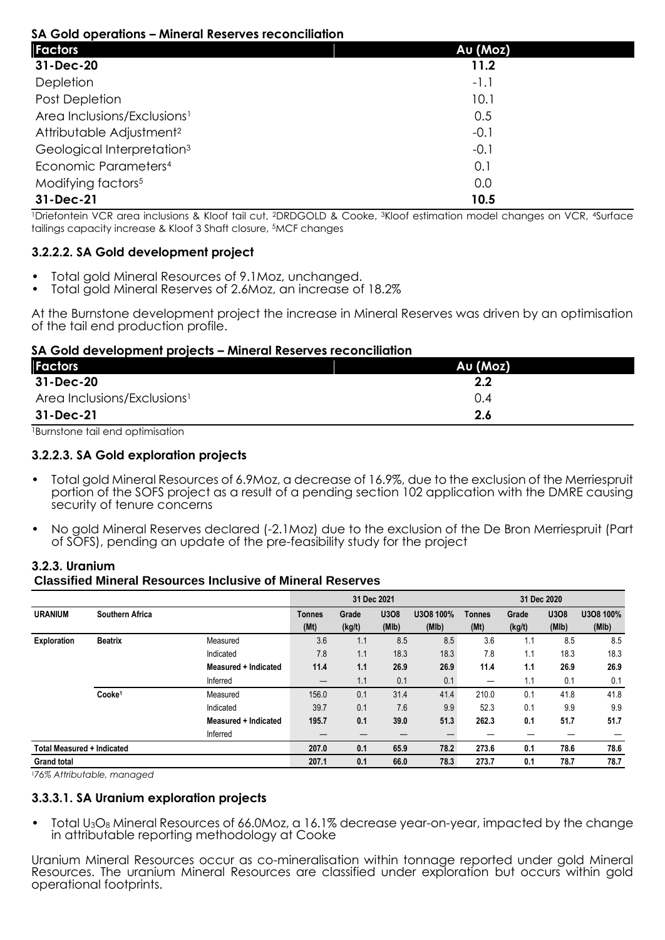## **SA Gold operations – Mineral Reserves reconciliation**

| <u>su ona operalions – milieral kesel ves reconciliation</u> |          |  |
|--------------------------------------------------------------|----------|--|
| <b>Factors</b>                                               | Au (Moz) |  |
| 31-Dec-20                                                    | 11.2     |  |
| Depletion                                                    | $-1.1$   |  |
| Post Depletion                                               | 10.1     |  |
| Area Inclusions/Exclusions <sup>1</sup>                      | 0.5      |  |
| Attributable Adjustment <sup>2</sup>                         | $-0.1$   |  |
| Geological Interpretation <sup>3</sup>                       | $-0.1$   |  |
| Economic Parameters <sup>4</sup>                             | 0.1      |  |
| Modifying factors <sup>5</sup>                               | 0.0      |  |
| 31-Dec-21                                                    | 10.5     |  |

<sup>1</sup>Driefontein VCR area inclusions & Kloof tail cut, <sup>2</sup>DRDGOLD & Cooke, <sup>3</sup>Kloof estimation model changes on VCR, <sup>4</sup>Surface tailings capacity increase & Kloof 3 Shaft closure, <sup>5</sup>MCF changes

## **3.2.2.2. SA Gold development project**

- Total gold Mineral Resources of 9.1Moz, unchanged.
- Total gold Mineral Reserves of 2.6Moz, an increase of 18.2%

At the Burnstone development project the increase in Mineral Reserves was driven by an optimisation of the tail end production profile.

## **SA Gold development projects – Mineral Reserves reconciliation**

| <b>Factors</b>                          | Au (Moz) |
|-----------------------------------------|----------|
| 31-Dec-20                               | $2.2\,$  |
| Area Inclusions/Exclusions <sup>1</sup> | 0.4      |
| 31-Dec-21                               | 2.6      |

<sup>1</sup>Burnstone tail end optimisation

## **3.2.2.3. SA Gold exploration projects**

- Total gold Mineral Resources of 6.9Moz, a decrease of 16.9%, due to the exclusion of the Merriespruit portion of the SOFS project as a result of a pending section 102 application with the DMRE causing security of tenure concerns
- No gold Mineral Reserves declared (-2.1Moz) due to the exclusion of the De Bron Merriespruit (Part of SOFS), pending an update of the pre-feasibility study for the project

## **3.2.3. Uranium Classified Mineral Resources Inclusive of Mineral Reserves**

|                                   |                        |                      |               | 31 Dec 2021 |       |           | 31 Dec 2020   |        |       |           |  |
|-----------------------------------|------------------------|----------------------|---------------|-------------|-------|-----------|---------------|--------|-------|-----------|--|
| <b>URANIUM</b>                    | <b>Southern Africa</b> |                      | <b>Tonnes</b> | Grade       | U3O8  | U3O8 100% | <b>Tonnes</b> | Grade  | U3O8  | U3O8 100% |  |
|                                   |                        |                      | (Mt)          | (kg/t)      | (MIb) | (MIb)     | (Mt)          | (kg/t) | (MIb) | (MIb)     |  |
| Exploration                       | <b>Beatrix</b>         | Measured             | 3.6           | 1.1         | 8.5   | 8.5       | 3.6           | 1.1    | 8.5   | 8.5       |  |
|                                   |                        | Indicated            | 7.8           | 1.1         | 18.3  | 18.3      | 7.8           | 1.1    | 18.3  | 18.3      |  |
|                                   |                        | Measured + Indicated | 11.4          | 1.1         | 26.9  | 26.9      | 11.4          | 1.1    | 26.9  | 26.9      |  |
|                                   |                        | Inferred             |               | 1.1         | 0.1   | 0.1       |               | 1.1    | 0.1   | 0.1       |  |
|                                   | Cooke <sup>1</sup>     | Measured             | 156.0         | 0.1         | 31.4  | 41.4      | 210.0         | 0.1    | 41.8  | 41.8      |  |
|                                   |                        | Indicated            | 39.7          | 0.1         | 7.6   | 9.9       | 52.3          | 0.1    | 9.9   | 9.9       |  |
|                                   |                        | Measured + Indicated | 195.7         | 0.1         | 39.0  | 51.3      | 262.3         | 0.1    | 51.7  | 51.7      |  |
|                                   |                        | Inferred             | –             | –           |       |           |               |        |       |           |  |
| <b>Total Measured + Indicated</b> |                        |                      | 207.0         | 0.1         | 65.9  | 78.2      | 273.6         | 0.1    | 78.6  | 78.6      |  |
| <b>Grand total</b>                |                        |                      | 207.1         | 0.1         | 66.0  | 78.3      | 273.7         | 0.1    | 78.7  | 78.7      |  |

*<sup>1</sup>76% Attributable, managed*

#### **3.3.3.1. SA Uranium exploration projects**

• Total U3O<sup>8</sup> Mineral Resources of 66.0Moz, a 16.1% decrease year-on-year, impacted by the change in attributable reporting methodology at Cooke

Uranium Mineral Resources occur as co-mineralisation within tonnage reported under gold Mineral Resources. The uranium Mineral Resources are classified under exploration but occurs within gold operational footprints.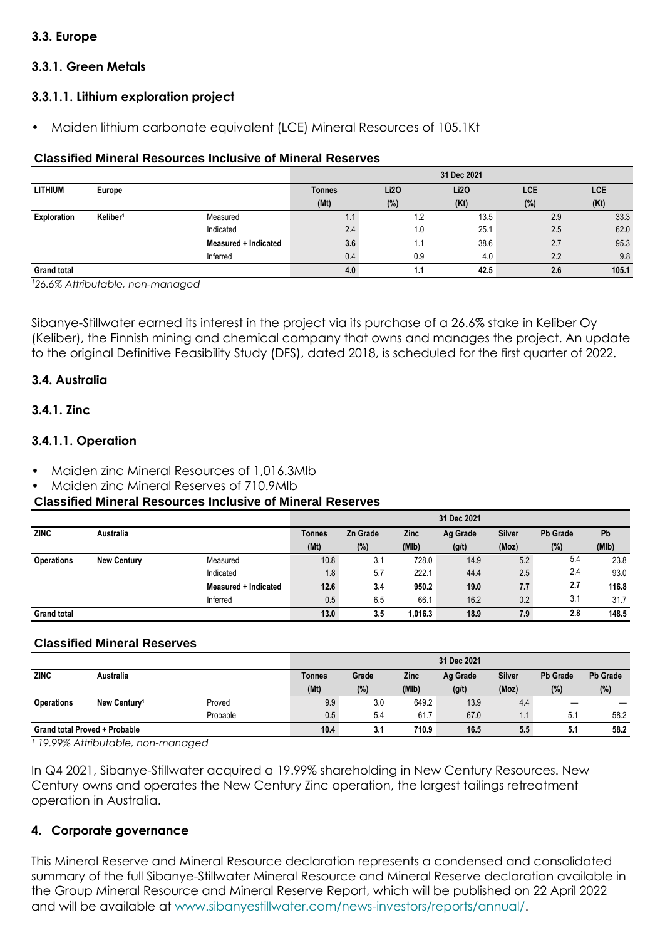# **3.3. Europe**

# **3.3.1. Green Metals**

# **3.3.1.1. Lithium exploration project**

• Maiden lithium carbonate equivalent (LCE) Mineral Resources of 105.1Kt

## **Classified Mineral Resources Inclusive of Mineral Reserves**

|                    |                      |                      | 31 Dec 2021 |      |             |     |       |  |  |  |
|--------------------|----------------------|----------------------|-------------|------|-------------|-----|-------|--|--|--|
| <b>LITHIUM</b>     | Europe               |                      | Tonnes      | Li2O | <b>Li20</b> | LCE | LCE   |  |  |  |
|                    |                      |                      | (Mt)        | (%)  | (Kt)        | (%) | (Kt)  |  |  |  |
| Exploration        | Keliber <sup>1</sup> | Measured             | ۰.۱         | 1.2  | 13.5        | 2.9 | 33.3  |  |  |  |
|                    |                      | Indicated            | 2.4         | 1.0  | 25.1        | 2.5 | 62.0  |  |  |  |
|                    |                      | Measured + Indicated | 3.6         | 1.1  | 38.6        | 2.7 | 95.3  |  |  |  |
|                    |                      | Inferred             | 0.4         | 0.9  | 4.0         | 2.2 | 9.8   |  |  |  |
| <b>Grand total</b> |                      |                      | 4.0         | 1.1  | 42.5        | 2.6 | 105.1 |  |  |  |

*<sup>1</sup>26.6% Attributable, non-managed*

Sibanye-Stillwater earned its interest in the project via its purchase of a 26.6% stake in Keliber Oy (Keliber), the Finnish mining and chemical company that owns and manages the project. An update to the original Definitive Feasibility Study (DFS), dated 2018, is scheduled for the first quarter of 2022.

## **3.4. Australia**

## **3.4.1. Zinc**

## **3.4.1.1. Operation**

- Maiden zinc Mineral Resources of 1,016.3Mlb
- Maiden zinc Mineral Reserves of 710.9Mlb

#### **Classified Mineral Resources Inclusive of Mineral Reserves**

|                    |                    |                      |               |                 |         | 31 Dec 2021 |               |                 |       |
|--------------------|--------------------|----------------------|---------------|-----------------|---------|-------------|---------------|-----------------|-------|
| <b>ZINC</b>        | Australia          |                      | <b>Tonnes</b> | <b>Zn Grade</b> | Zinc    | Ag Grade    | <b>Silver</b> | <b>Pb Grade</b> | Pb    |
|                    |                    |                      | (Mt)          | (%)             | (MIb)   | (g/t)       | (Moz)         | (%)             | (MIb) |
| <b>Operations</b>  | <b>New Century</b> | Measured             | 10.8          | 3.1             | 728.0   | 14.9        | 5.2           | 5.4             | 23.8  |
|                    |                    | Indicated            | 1.8           | 5.7             | 222.1   | 44.4        | 2.5           | 2.4             | 93.0  |
|                    |                    | Measured + Indicated | 12.6          | 3.4             | 950.2   | 19.0        | 7.7           | 2.7             | 116.8 |
|                    |                    | Inferred             | 0.5           | 6.5             | 66.1    | 16.2        | 0.2           | 3.1             | 31.7  |
| <b>Grand total</b> |                    |                      | 13.0          | 3.5             | 1.016.3 | 18.9        | 7.9           | 2.8             | 148.5 |

#### **Classified Mineral Reserves**

|                                      |                          |          |        |       |       | 31 Dec 2021 |               |                 |                 |
|--------------------------------------|--------------------------|----------|--------|-------|-------|-------------|---------------|-----------------|-----------------|
| <b>ZINC</b>                          | Australia                |          | Tonnes | Grade | Zinc  | Ag Grade    | <b>Silver</b> | <b>Pb Grade</b> | <b>Pb Grade</b> |
|                                      |                          |          | (Mt)   | (%)   | (MIb) | (g/t)       | (Moz)         | (%)             | (%)             |
| <b>Operations</b>                    | New Century <sup>1</sup> | Proved   | 9.9    | 3.0   | 649.2 | 13.9        | 4.4           |                 |                 |
|                                      |                          | Probable | 0.5    | 5.4   | 61.7  | 67.0        | 1.1           | 5.1             | 58.2            |
| <b>Grand total Proved + Probable</b> |                          | 10.4     | 3.1    | 710.9 | 16.5  | 5.5         | 5.1           | 58.2            |                 |

*<sup>1</sup> 19.99% Attributable, non-managed*

In Q4 2021, Sibanye-Stillwater acquired a 19.99% shareholding in New Century Resources. New Century owns and operates the New Century Zinc operation, the largest tailings retreatment operation in Australia.

## **4. Corporate governance**

This Mineral Reserve and Mineral Resource declaration represents a condensed and consolidated summary of the full Sibanye-Stillwater Mineral Resource and Mineral Reserve declaration available in the Group Mineral Resource and Mineral Reserve Report, which will be published on 22 April 2022 and will be available at www.sibanyestillwater.com/news-investors/reports/annual/.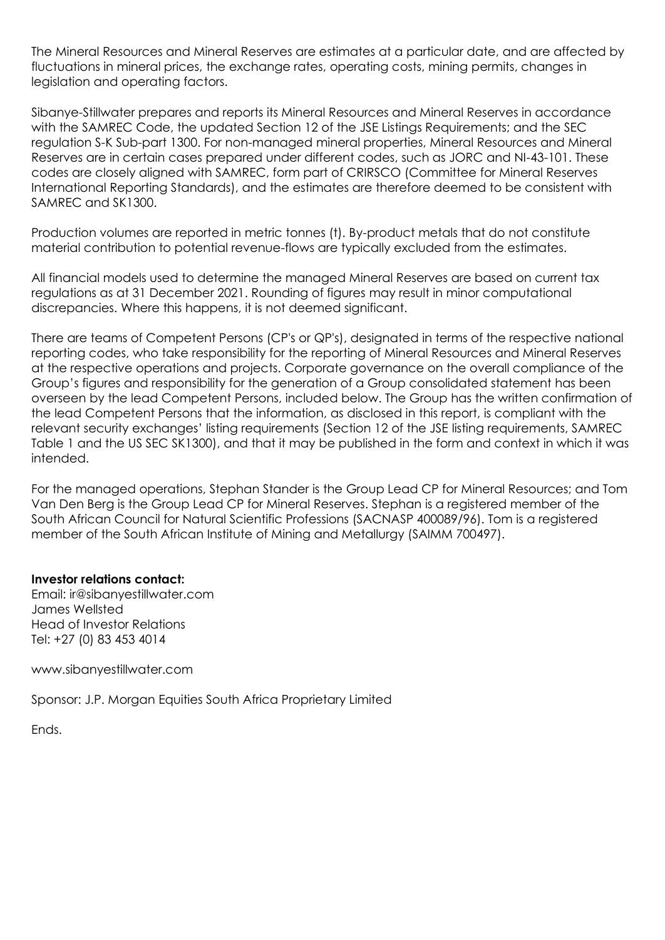The Mineral Resources and Mineral Reserves are estimates at a particular date, and are affected by fluctuations in mineral prices, the exchange rates, operating costs, mining permits, changes in legislation and operating factors.

Sibanye-Stillwater prepares and reports its Mineral Resources and Mineral Reserves in accordance with the SAMREC Code, the updated Section 12 of the JSE Listings Requirements; and the SEC regulation S-K Sub-part 1300. For non-managed mineral properties, Mineral Resources and Mineral Reserves are in certain cases prepared under different codes, such as JORC and NI-43-101. These codes are closely aligned with SAMREC, form part of CRIRSCO (Committee for Mineral Reserves International Reporting Standards), and the estimates are therefore deemed to be consistent with SAMREC and SK1300.

Production volumes are reported in metric tonnes (t). By-product metals that do not constitute material contribution to potential revenue-flows are typically excluded from the estimates.

All financial models used to determine the managed Mineral Reserves are based on current tax regulations as at 31 December 2021. Rounding of figures may result in minor computational discrepancies. Where this happens, it is not deemed significant.

There are teams of Competent Persons (CP's or QP's), designated in terms of the respective national reporting codes, who take responsibility for the reporting of Mineral Resources and Mineral Reserves at the respective operations and projects. Corporate governance on the overall compliance of the Group's figures and responsibility for the generation of a Group consolidated statement has been overseen by the lead Competent Persons, included below. The Group has the written confirmation of the lead Competent Persons that the information, as disclosed in this report, is compliant with the relevant security exchanges' listing requirements (Section 12 of the JSE listing requirements, SAMREC Table 1 and the US SEC SK1300), and that it may be published in the form and context in which it was intended.

For the managed operations, Stephan Stander is the Group Lead CP for Mineral Resources; and Tom Van Den Berg is the Group Lead CP for Mineral Reserves. Stephan is a registered member of the South African Council for Natural Scientific Professions (SACNASP 400089/96). Tom is a registered member of the South African Institute of Mining and Metallurgy (SAIMM 700497).

## **Investor relations contact:**

Email: ir@sibanyestillwater.com James Wellsted Head of Investor Relations Tel: +27 (0) 83 453 4014

www.sibanyestillwater.com

Sponsor: J.P. Morgan Equities South Africa Proprietary Limited

Ends.